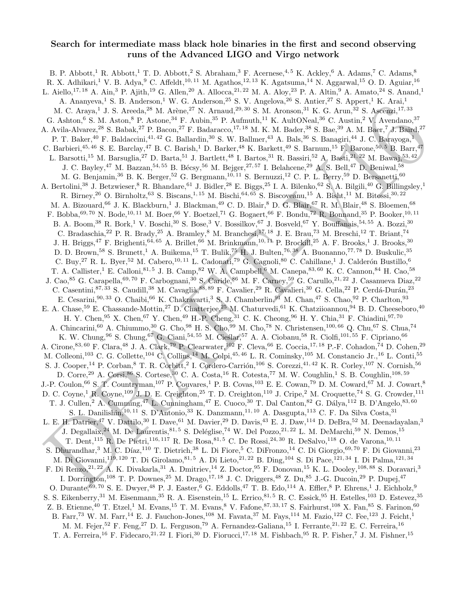# Search for intermediate mass black hole binaries in the first and second observing runs of the Advanced LIGO and Virgo network

M. C. Angelis 3 Maxima <sup>24</sup> 3 Maxima <sup>24</sup> <sup>26</sup> 3 Maxima <sup>2</sup> 4 (3 Angelis)<sup>3</sup> N. C. Angelis 3 Maxima 2 (4 Angelis 3 Maxima 2 (4 Angelis 3 Maxima 2 (4 Angelis 3 Maxima 2 (4 Angelis 3 Maxima 2 (4 Angelis 3 Maxima 2 (4 Angel B. P. Abbott,<sup>1</sup> R. Abbott,<sup>1</sup> T. D. Abbott,<sup>2</sup> S. Abraham,<sup>3</sup> F. Acernese,<sup>4,5</sup> K. Ackley,<sup>6</sup> A. Adams,<sup>7</sup> C. Adams,<sup>8</sup> R. X. Adhikari,<sup>1</sup> V. B. Adya,<sup>9</sup> C. Affeldt,<sup>10, 11</sup> M. Agathos,<sup>12, 13</sup> K. Agatsuma,<sup>14</sup> N. Aggarwal,<sup>15</sup> O. D. Aguiar,<sup>16</sup> L. Aiello,<sup>17, 18</sup> A. Ain,<sup>3</sup> P. Ajith,<sup>19</sup> G. Allen,<sup>20</sup> A. Allocca,<sup>21, 22</sup> M. A. Aloy,<sup>23</sup> P. A. Altin,<sup>9</sup> A. Amato,<sup>24</sup> S. Anand,<sup>1</sup> A. Ananyeva,<sup>1</sup> S. B. Anderson,<sup>1</sup> W. G. Anderson,<sup>25</sup> S. V. Angelova,<sup>26</sup> S. Antier,<sup>27</sup> S. Appert,<sup>1</sup> K. Arai,<sup>1</sup> M. C. Araya,<sup>1</sup> J. S. Areeda,<sup>28</sup> M. Arène,<sup>27</sup> N. Arnaud,<sup>29, 30</sup> S. M. Aronson,<sup>31</sup> K. G. Arun,<sup>32</sup> S. Ascenzi,<sup>17, 33</sup> G. Ashton,<sup>6</sup> S. M. Aston,<sup>8</sup> P. Astone,<sup>34</sup> F. Aubin,<sup>35</sup> P. Aufmuth,<sup>11</sup> K. AultONeal,<sup>36</sup> C. Austin,<sup>2</sup> V. Avendano,<sup>37</sup> A. Avila-Alvarez,<sup>28</sup> S. Babak,<sup>27</sup> P. Bacon,<sup>27</sup> F. Badaracco,<sup>17, 18</sup> M. K. M. Bader,<sup>38</sup> S. Bae,<sup>39</sup> A. M. Baer,<sup>7</sup> J. Baird,<sup>27</sup> P. T. Baker,<sup>40</sup> F. Baldaccini,<sup>41, 42</sup> G. Ballardin,<sup>30</sup> S. W. Ballmer,<sup>43</sup> A. Bals,<sup>36</sup> S. Banagiri,<sup>44</sup> J. C. Barayoga,<sup>1</sup> C. Barbieri,<sup>45, 46</sup> S. E. Barclay,<sup>47</sup> B. C. Barish,<sup>1</sup> D. Barker,<sup>48</sup> K. Barkett,<sup>49</sup> S. Barnum,<sup>15</sup> F. Barone,<sup>50, 5</sup> B. Barr,<sup>47</sup> L. Barsotti,<sup>15</sup> M. Barsuglia,<sup>27</sup> D. Barta,<sup>51</sup> J. Bartlett,<sup>48</sup> I. Bartos,<sup>31</sup> R. Bassiri,<sup>52</sup> A. Basti,<sup>21, 22</sup> M. Bawaj,<sup>53, 42</sup> J. C. Bayley, <sup>47</sup> M. Bazzan, <sup>54, 55</sup> B. Bécsy, <sup>56</sup> M. Bejger, <sup>27, 57</sup> I. Belahcene, <sup>29</sup> A. S. Bell, <sup>47</sup> D. Beniwal, <sup>58</sup> M. G. Benjamin,<sup>36</sup> B. K. Berger,<sup>52</sup> G. Bergmann,<sup>10,11</sup> S. Bernuzzi,<sup>12</sup> C. P. L. Berry,<sup>59</sup> D. Bersanetti,<sup>60</sup> A. Bertolini,<sup>38</sup> J. Betzwieser,<sup>8</sup> R. Bhandare,<sup>61</sup> J. Bidler,<sup>28</sup> E. Biggs,<sup>25</sup> I. A. Bilenko,<sup>62</sup> S. A. Bilgili,<sup>40</sup> G. Billingsley,<sup>1</sup> R. Birney,  $^{26}$  O. Birnholtz,  $^{63}$  S. Biscans,  $^{1,15}$  M. Bischi,  $^{64,65}$  S. Biscoveanu,  $^{15}$  A. Bisht,  $^{11}$  M. Bitossi,  $^{30,22}$ M. A. Bizouard, <sup>66</sup> J. K. Blackburn,<sup>1</sup> J. Blackman, <sup>49</sup> C. D. Blair, <sup>8</sup> D. G. Blair, <sup>67</sup> R. M. Blair, <sup>48</sup> S. Bloemen, <sup>68</sup> F. Bobba,<sup>69, 70</sup> N. Bode,<sup>10, 11</sup> M. Boer,<sup>66</sup> Y. Boetzel,<sup>71</sup> G. Bogaert,<sup>66</sup> F. Bondu,<sup>72</sup> R. Bonnand,<sup>35</sup> P. Booker,<sup>10, 11</sup> B. A. Boom,<sup>38</sup> R. Bork,<sup>1</sup> V. Boschi,<sup>30</sup> S. Bose,<sup>3</sup> V. Bossilkov,<sup>67</sup> J. Bosveld,<sup>67</sup> Y. Bouffanais,<sup>54, 55</sup> A. Bozzi,<sup>30</sup> C. Bradaschia,<sup>22</sup> P. R. Brady,<sup>25</sup> A. Bramley,<sup>8</sup> M. Branchesi,<sup>17,18</sup> J. E. Brau,<sup>73</sup> M. Breschi,<sup>12</sup> T. Briant,<sup>74</sup> J. H. Briggs,<sup>47</sup> F. Brighenti,<sup>64, 65</sup> A. Brillet,<sup>66</sup> M. Brinkmann,<sup>10, 11</sup> P. Brockill,<sup>25</sup> A. F. Brooks,<sup>1</sup> J. Brooks,<sup>30</sup> D. D. Brown,<sup>58</sup> S. Brunett,<sup>1</sup> A. Buikema,<sup>15</sup> T. Bulik,<sup>75</sup> H. J. Bulten,<sup>76,38</sup> A. Buonanno,<sup>77,78</sup> D. Buskulic,<sup>35</sup> C. Buy,<sup>27</sup> R. L. Byer,<sup>52</sup> M. Cabero,<sup>10, 11</sup> L. Cadonati,<sup>79</sup> G. Cagnoli,<sup>80</sup> C. Cahillane,<sup>1</sup> J. Calderón Bustillo,<sup>6</sup> T. A. Callister,<sup>1</sup> E. Calloni,<sup>81, 5</sup> J. B. Camp,<sup>82</sup> W. A. Campbell,<sup>6</sup> M. Canepa,<sup>83, 60</sup> K. C. Cannon,<sup>84</sup> H. Cao,<sup>58</sup> J. Cao, <sup>85</sup> G. Carapella, <sup>69, 70</sup> F. Carbognani,<sup>30</sup> S. Caride, <sup>86</sup> M. F. Carney, <sup>59</sup> G. Carullo,<sup>21, 22</sup> J. Casanueva Diaz,<sup>22</sup> C. Casentini, 87, 33 S. Caudill, 38 M. Cavaglià, 88, 89 F. Cavalier, 29 R. Cavalieri, 30 G. Cella, 22 P. Cerdá-Durán, 23 E. Cesarini, <sup>90, 33</sup> O. Chaibi, <sup>66</sup> K. Chakravarti, <sup>3</sup> S. J. Chamberlin, <sup>91</sup> M. Chan, <sup>47</sup> S. Chao, <sup>92</sup> P. Charlton, <sup>93</sup> E. A. Chase,<sup>59</sup> E. Chassande-Mottin,<sup>27</sup> D. Chatterjee,<sup>25</sup> M. Chaturvedi,<sup>61</sup> K. Chatziioannou,<sup>94</sup> B. D. Cheeseboro,<sup>40</sup> H. Y. Chen, <sup>95</sup> X. Chen, <sup>67</sup> Y. Chen, <sup>49</sup> H.-P. Cheng, <sup>31</sup> C. K. Cheong, <sup>96</sup> H. Y. Chia, <sup>31</sup> F. Chiadini, <sup>97, 70</sup> A. Chincarini,<sup>60</sup> A. Chiummo,<sup>30</sup> G. Cho,<sup>98</sup> H. S. Cho,<sup>99</sup> M. Cho,<sup>78</sup> N. Christensen,<sup>100,66</sup> Q. Chu,<sup>67</sup> S. Chua,<sup>74</sup> K. W. Chung,  $96$  S. Chung,  $67$  G. Ciani,  $54, 55$  M. Ciestar,  $57$  A. A. Ciobanu,  $58$  R. Ciolfi,  $101, 55$  F. Cipriano,  $66$ A. Cirone, <sup>83, 60</sup> F. Clara, <sup>48</sup> J. A. Clark, <sup>79</sup> P. Clearwater, <sup>102</sup> F. Cleva, <sup>66</sup> E. Coccia, <sup>17, 18</sup> P.-F. Cohadon, <sup>74</sup> D. Cohen, <sup>29</sup> M. Colleoni,<sup>103</sup> C. G. Collette,<sup>104</sup> C. Collins,<sup>14</sup> M. Colpi,<sup>45,46</sup> L. R. Cominsky,<sup>105</sup> M. Constancio Jr.,<sup>16</sup> L. Conti,<sup>55</sup> S. J. Cooper,<sup>14</sup> P. Corban,<sup>8</sup> T. R. Corbitt,<sup>2</sup> I. Cordero-Carrión,<sup>106</sup> S. Corezzi,<sup>41,42</sup> K. R. Corley,<sup>107</sup> N. Cornish,<sup>56</sup> D. Corre,<sup>29</sup> A. Corsi,<sup>86</sup> S. Cortese,<sup>30</sup> C. A. Costa,<sup>16</sup> R. Cotesta,<sup>77</sup> M. W. Coughlin,<sup>1</sup> S. B. Coughlin,<sup>108,59</sup> J.-P. Coulon, 66 S. T. Countryman, <sup>107</sup> P. Couvares,<sup>1</sup> P. B. Covas, <sup>103</sup> E. E. Cowan, <sup>79</sup> D. M. Coward, <sup>67</sup> M. J. Cowart, <sup>8</sup> D. C. Coyne,<sup>1</sup> R. Coyne,<sup>109</sup> J. D. E. Creighton,<sup>25</sup> T. D. Creighton,<sup>110</sup> J. Cripe,<sup>2</sup> M. Croquette,<sup>74</sup> S. G. Crowder,<sup>111</sup> T. J. Cullen,<sup>2</sup> A. Cumming,<sup>47</sup> L. Cunningham,<sup>47</sup> E. Cuoco,<sup>30</sup> T. Dal Canton,<sup>82</sup> G. Dálya,<sup>112</sup> B. D'Angelo,<sup>83, 60</sup> S. L. Danilishin,<sup>10, 11</sup> S. D'Antonio,<sup>33</sup> K. Danzmann,<sup>11, 10</sup> A. Dasgupta,<sup>113</sup> C. F. Da Silva Costa,<sup>31</sup> L. E. H. Datrier,<sup>47</sup> V. Dattilo,<sup>30</sup> I. Dave,<sup>61</sup> M. Davier,<sup>29</sup> D. Davis,<sup>43</sup> E. J. Daw,<sup>114</sup> D. DeBra,<sup>52</sup> M. Deenadayalan,<sup>3</sup> J. Degallaix,<sup>24</sup> M. De Laurentis,<sup>81, 5</sup> S. Deléglise,<sup>74</sup> W. Del Pozzo,<sup>21, 22</sup> L. M. DeMarchi,<sup>59</sup> N. Demos,<sup>15</sup> T. Dent, <sup>115</sup> R. De Pietri, <sup>116, 117</sup> R. De Rosa, <sup>81, 5</sup> C. De Rossi, <sup>24, 30</sup> R. DeSalvo, <sup>118</sup> O. de Varona, <sup>10, 11</sup> S. Dhurandhar,<sup>3</sup> M. C. Díaz,<sup>110</sup> T. Dietrich,<sup>38</sup> L. Di Fiore,<sup>5</sup> C. DiFronzo,<sup>14</sup> C. Di Giorgio,<sup>69,70</sup> F. Di Giovanni,<sup>23</sup> M. Di Giovanni,<sup>119, 120</sup> T. Di Girolamo, <sup>81, 5</sup> A. Di Lieto, <sup>21, 22</sup> B. Ding, <sup>104</sup> S. Di Pace, <sup>121, 34</sup> I. Di Palma, <sup>121, 34</sup> F. Di Renzo,<sup>21, 22</sup> A. K. Divakarla,<sup>31</sup> A. Dmitriev,<sup>14</sup> Z. Doctor,<sup>95</sup> F. Donovan,<sup>15</sup> K. L. Dooley,<sup>108, 88</sup> S. Doravari,<sup>3</sup> I. Dorrington,<sup>108</sup> T. P. Downes,<sup>25</sup> M. Drago,<sup>17,18</sup> J. C. Driggers,<sup>48</sup> Z. Du,<sup>85</sup> J.-G. Ducoin,<sup>29</sup> P. Dupej,<sup>47</sup> O. Durante,<sup>69, 70</sup> S. E. Dwyer,<sup>48</sup> P. J. Easter,<sup>6</sup> G. Eddolls,<sup>47</sup> T. B. Edo,<sup>114</sup> A. Effler,<sup>8</sup> P. Ehrens,<sup>1</sup> J. Eichholz,<sup>9</sup> S. S. Eikenberry,<sup>31</sup> M. Eisenmann,<sup>35</sup> R. A. Eisenstein,<sup>15</sup> L. Errico,<sup>81,5</sup> R. C. Essick,<sup>95</sup> H. Estelles,<sup>103</sup> D. Estevez,<sup>35</sup> Z. B. Etienne,  $^{40}$  T. Etzel,<sup>1</sup> M. Evans,  $^{15}$  T. M. Evans,  $^{8}$  V. Fafone,  $^{87,33,17}$  S. Fairhurst,  $^{108}$  X. Fan,  $^{85}$  S. Farinon,  $^{60}$ B. Farr,<sup>73</sup> W. M. Farr,<sup>14</sup> E. J. Fauchon-Jones,<sup>108</sup> M. Favata,<sup>37</sup> M. Fays,<sup>114</sup> M. Fazio,<sup>122</sup> C. Fee,<sup>123</sup> J. Feicht,<sup>1</sup> M. M. Fejer,<sup>52</sup> F. Feng,<sup>27</sup> D. L. Ferguson,<sup>79</sup> A. Fernandez-Galiana,<sup>15</sup> I. Ferrante,<sup>21, 22</sup> E. C. Ferreira,<sup>16</sup> T. A. Ferreira,<sup>16</sup> F. Fidecaro,<sup>21, 22</sup> I. Fiori,<sup>30</sup> D. Fiorucci,<sup>17, 18</sup> M. Fishbach,<sup>95</sup> R. P. Fisher,<sup>7</sup> J. M. Fishner,<sup>15</sup>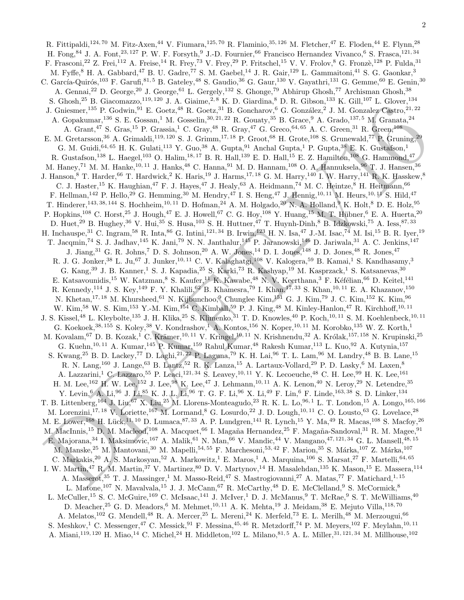1. Generaties Pr. Generaties Pr. Generaties Pr. Generaties Pr. Generaties Pr. Generaties Pr. Generaties A. Generaties Pr. Generaties A. Generaties Pr. Generaties A. Generaties Pr. Generaties A. Generaties Pr. Generaties R. Fittipaldi,<sup>124, 70</sup> M. Fitz-Axen,<sup>44</sup> V. Fiumara,<sup>125, 70</sup> R. Flaminio,<sup>35, 126</sup> M. Fletcher,<sup>47</sup> E. Floden,<sup>44</sup> E. Flynn,<sup>28</sup> H. Fong,  $84$  J. A. Font,  $23,127$  P. W. F. Forsyth,  $9$  J.-D. Fournier,  $66$  Francisco Hernandez Vivanco,  $6$  S. Frasca,  $121,34$ F. Frasconi,<sup>22</sup> Z. Frei,<sup>112</sup> A. Freise,<sup>14</sup> R. Frey,<sup>73</sup> V. Frey,<sup>29</sup> P. Fritschel,<sup>15</sup> V. V. Frolov,<sup>8</sup> G. Fronzè,<sup>128</sup> P. Fulda,<sup>31</sup> M. Fyffe, $^8$  H. A. Gabbard, $^{47}$  B. U. Gadre, $^{77}$  S. M. Gaebel, $^{14}$  J. R. Gair, $^{129}$  L. Gammaitoni, $^{41}$  S. G. Gaonkar, $^3$ C. García-Quirós,<sup>103</sup> F. Garufi,<sup>81, 5</sup> B. Gateley,<sup>48</sup> S. Gaudio,<sup>36</sup> G. Gaur,<sup>130</sup> V. Gayathri,<sup>131</sup> G. Gemme,<sup>60</sup> E. Genin,<sup>30</sup> A. Gennai,<sup>22</sup> D. George,<sup>20</sup> J. George,<sup>61</sup> L. Gergely,<sup>132</sup> S. Ghonge,<sup>79</sup> Abhirup Ghosh,<sup>77</sup> Archisman Ghosh,<sup>38</sup> S. Ghosh,<sup>25</sup> B. Giacomazzo,<sup>119, 120</sup> J. A. Giaime,<sup>2, 8</sup> K. D. Giardina,<sup>8</sup> D. R. Gibson,<sup>133</sup> K. Gill,<sup>107</sup> L. Glover,<sup>134</sup> J. Gniesmer,<sup>135</sup> P. Godwin,<sup>91</sup> E. Goetz,<sup>48</sup> R. Goetz,<sup>31</sup> B. Goncharov,<sup>6</sup> G. González,<sup>2</sup> J. M. Gonzalez Castro,<sup>21, 22</sup> A. Gopakumar,<sup>136</sup> S. E. Gossan,<sup>1</sup> M. Gosselin,<sup>30, 21, 22</sup> R. Gouaty,<sup>35</sup> B. Grace,<sup>9</sup> A. Grado,<sup>137, 5</sup> M. Granata,<sup>24</sup> A. Grant,<sup>47</sup> S. Gras,<sup>15</sup> P. Grassia,<sup>1</sup> C. Gray,<sup>48</sup> R. Gray,<sup>47</sup> G. Greco,<sup>64,65</sup> A. C. Green,<sup>31</sup> R. Green,<sup>108</sup> E. M. Gretarsson,<sup>36</sup> A. Grimaldi,<sup>119, 120</sup> S. J. Grimm,<sup>17, 18</sup> P. Groot,<sup>68</sup> H. Grote,<sup>108</sup> S. Grunewald,<sup>77</sup> P. Gruning,<sup>29</sup> G. M. Guidi,  $64, 65$  H. K. Gulati,  $113$  Y. Guo,  $38$  A. Gupta,  $91$  Anchal Gupta,  $1$  P. Gupta,  $38$  E. K. Gustafson,  $1$ R. Gustafson,<sup>138</sup> L. Haegel,<sup>103</sup> O. Halim,<sup>18, 17</sup> B. R. Hall,<sup>139</sup> E. D. Hall,<sup>15</sup> E. Z. Hamilton,<sup>108</sup> G. Hammond,<sup>47</sup> M. Haney,<sup>71</sup> M. M. Hanke,<sup>10, 11</sup> J. Hanks,<sup>48</sup> C. Hanna,<sup>91</sup> M. D. Hannam,<sup>108</sup> O. A. Hannuksela,<sup>96</sup> T. J. Hansen,<sup>36</sup> J. Hanson,<sup>8</sup> T. Harder,<sup>66</sup> T. Hardwick,<sup>2</sup> K. Haris,<sup>19</sup> J. Harms,<sup>17, 18</sup> G. M. Harry,<sup>140</sup> I. W. Harry,<sup>141</sup> R. K. Hasskew,<sup>8</sup> C. J. Haster,<sup>15</sup> K. Haughian,<sup>47</sup> F. J. Hayes,<sup>47</sup> J. Healy,<sup>63</sup> A. Heidmann,<sup>74</sup> M. C. Heintze,<sup>8</sup> H. Heitmann,<sup>66</sup> F. Hellman,<sup>142</sup> P. Hello,<sup>29</sup> G. Hemming,<sup>30</sup> M. Hendry,<sup>47</sup> I. S. Heng,<sup>47</sup> J. Hennig,<sup>10, 11</sup> M. Heurs,<sup>10, 11</sup> S. Hild,<sup>47</sup> T. Hinderer,<sup>143, 38, 144</sup> S. Hochheim,<sup>10, 11</sup> D. Hofman,<sup>24</sup> A. M. Holgado,<sup>20</sup> N. A. Holland,<sup>9</sup> K. Holt,<sup>8</sup> D. E. Holz,<sup>95</sup> P. Hopkins,<sup>108</sup> C. Horst,<sup>25</sup> J. Hough,<sup>47</sup> E. J. Howell,<sup>67</sup> C. G. Hoy,<sup>108</sup> Y. Huang,<sup>15</sup> M. T. Hübner,<sup>6</sup> E. A. Huerta,<sup>20</sup> D. Huet,<sup>29</sup> B. Hughey,<sup>36</sup> V. Hui,<sup>35</sup> S. Husa,<sup>103</sup> S. H. Huttner,<sup>47</sup> T. Huynh-Dinh,<sup>8</sup> B. Idzkowski,<sup>75</sup> A. Iess,<sup>87,33</sup> H. Inchauspe,  $31$  C. Ingram,  $58$  R. Inta,  $86$  G. Intini,  $121, 34$  B. Irwin,  $123$  H. N. Isa,  $47$  J.-M. Isac,  $74$  M. Isi,  $15$  B. R. Iyer,  $19$ T. Jacqmin,<sup>74</sup> S. J. Jadhav,<sup>145</sup> K. Jani,<sup>79</sup> N. N. Janthalur,<sup>145</sup> P. Jaranowski,<sup>146</sup> D. Jariwala,<sup>31</sup> A. C. Jenkins,<sup>147</sup> J. Jiang,<sup>31</sup> G. R. Johns,<sup>7</sup> D. S. Johnson,<sup>20</sup> A. W. Jones,<sup>14</sup> D. I. Jones,<sup>148</sup> J. D. Jones,<sup>48</sup> R. Jones,<sup>47</sup> R. J. G. Jonker,<sup>38</sup> L. Ju,<sup>67</sup> J. Junker,<sup>10, 11</sup> C. V. Kalaghatgi,<sup>108</sup> V. Kalogera,<sup>59</sup> B. Kamai,<sup>1</sup> S. Kandhasamy,<sup>3</sup> G. Kang,<sup>39</sup> J. B. Kanner,<sup>1</sup> S. J. Kapadia,<sup>25</sup> S. Karki,<sup>73</sup> R. Kashyap,<sup>19</sup> M. Kasprzack,<sup>1</sup> S. Katsanevas,<sup>30</sup> E. Katsavounidis,<sup>15</sup> W. Katzman,<sup>8</sup> S. Kaufer,<sup>11</sup> K. Kawabe,<sup>48</sup> N. V. Keerthana,<sup>3</sup> F. Kéfélian,<sup>66</sup> D. Keitel,<sup>141</sup> R. Kennedy,<sup>114</sup> J. S. Key,<sup>149</sup> F. Y. Khalili,<sup>62</sup> B. Khamesra,<sup>79</sup> I. Khan,<sup>17,33</sup> S. Khan,<sup>10, 11</sup> E. A. Khazanov,<sup>150</sup> N. Khetan,<sup>17, 18</sup> M. Khursheed,<sup>61</sup> N. Kijbunchoo,<sup>9</sup> Chunglee Kim,<sup>151</sup> G. J. Kim,<sup>79</sup> J. C. Kim,<sup>152</sup> K. Kim,<sup>96</sup> W. Kim,<sup>58</sup> W. S. Kim,<sup>153</sup> Y.-M. Kim,<sup>154</sup> C. Kimball,<sup>59</sup> P. J. King,<sup>48</sup> M. Kinley-Hanlon,<sup>47</sup> R. Kirchhoff,<sup>10, 11</sup> J. S. Kissel,<sup>48</sup> L. Kleybolte,<sup>135</sup> J. H. Klika,<sup>25</sup> S. Klimenko,<sup>31</sup> T. D. Knowles,<sup>40</sup> P. Koch,<sup>10, 11</sup> S. M. Koehlenbeck,<sup>10, 11</sup> G. Koekoek,<sup>38, 155</sup> S. Koley,<sup>38</sup> V. Kondrashov,<sup>1</sup> A. Kontos,<sup>156</sup> N. Koper,<sup>10, 11</sup> M. Korobko,<sup>135</sup> W. Z. Korth,<sup>1</sup> M. Kovalam, <sup>67</sup> D. B. Kozak,<sup>1</sup> C. Krämer, <sup>10, 11</sup> V. Kringel, <sup>10, 11</sup> N. Krishnendu, <sup>32</sup> A. Królak, <sup>157, 158</sup> N. Krupinski, <sup>25</sup> G. Kuehn,<sup>10, 11</sup> A. Kumar,<sup>145</sup> P. Kumar,<sup>159</sup> Rahul Kumar,<sup>48</sup> Rakesh Kumar,<sup>113</sup> L. Kuo,<sup>92</sup> A. Kutynia,<sup>157</sup> S. Kwang,<sup>25</sup> B. D. Lackey,<sup>77</sup> D. Laghi,21, 22 P. Laguna,<sup>79</sup> K. H. Lai,<sup>96</sup> T. L. Lam,<sup>96</sup> M. Landry,<sup>48</sup> B. B. Lane,<sup>15</sup> R. N. Lang,<sup>160</sup> J. Lange,<sup>63</sup> B. Lantz,<sup>52</sup> R. K. Lanza,<sup>15</sup> A. Lartaux-Vollard,<sup>29</sup> P. D. Lasky,<sup>6</sup> M. Laxen,<sup>8</sup> A. Lazzarini,<sup>1</sup> C. Lazzaro,<sup>55</sup> P. Leaci,<sup>121, 34</sup> S. Leavey,<sup>10, 11</sup> Y. K. Lecoeuche,<sup>48</sup> C. H. Lee,<sup>99</sup> H. K. Lee,<sup>161</sup> H. M. Lee,<sup>162</sup> H. W. Lee,<sup>152</sup> J. Lee,<sup>98</sup> K. Lee,<sup>47</sup> J. Lehmann,<sup>10, 11</sup> A. K. Lenon,<sup>40</sup> N. Leroy,<sup>29</sup> N. Letendre,<sup>35</sup> Y. Levin, <sup>6</sup> A. Li, <sup>96</sup> J. Li, <sup>85</sup> K. J. L. Li, <sup>96</sup> T. G. F. Li, <sup>96</sup> X. Li, <sup>49</sup> F. Lin, <sup>6</sup> F. Linde, <sup>163, 38</sup> S. D. Linker, <sup>134</sup> T. B. Littenberg,<sup>164</sup> J. Liu,<sup>67</sup> X. Liu,<sup>25</sup> M. Llorens-Monteagudo,<sup>23</sup> R. K. L. Lo,<sup>96, 1</sup> L. T. London,<sup>15</sup> A. Longo,<sup>165, 166</sup> M. Lorenzini,<sup>17, 18</sup> V. Loriette,<sup>167</sup> M. Lormand,<sup>8</sup> G. Losurdo,<sup>22</sup> J. D. Lough,<sup>10, 11</sup> C. O. Lousto,<sup>63</sup> G. Lovelace,<sup>28</sup> M. E. Lower,<sup>168</sup> H. Lück,<sup>11, 10</sup> D. Lumaca, <sup>87, 33</sup> A. P. Lundgren,<sup>141</sup> R. Lynch,<sup>15</sup> Y. Ma,<sup>49</sup> R. Macas,<sup>108</sup> S. Macfoy,<sup>26</sup> M. MacInnis,<sup>15</sup> D. M. Macleod,<sup>108</sup> A. Macquet,<sup>66</sup> I. Magaña Hernandez,<sup>25</sup> F. Magaña-Sandoval,<sup>31</sup> R. M. Magee,<sup>91</sup> E. Majorana,<sup>34</sup> I. Maksimovic,<sup>167</sup> A. Malik,<sup>61</sup> N. Man,<sup>66</sup> V. Mandic,<sup>44</sup> V. Mangano,<sup>47, 121, 34</sup> G. L. Mansell,<sup>48, 15</sup> M. Manske,<sup>25</sup> M. Mantovani,<sup>30</sup> M. Mapelli,<sup>54, 55</sup> F. Marchesoni,<sup>53, 42</sup> F. Marion,<sup>35</sup> S. Márka,<sup>107</sup> Z. Márka,<sup>107</sup> C. Markakis,<sup>20</sup> A. S. Markosyan,<sup>52</sup> A. Markowitz,<sup>1</sup> E. Maros,<sup>1</sup> A. Marquina,<sup>106</sup> S. Marsat,<sup>27</sup> F. Martelli,<sup>64, 65</sup> I. W. Martin,<sup>47</sup> R. M. Martin,<sup>37</sup> V. Martinez,<sup>80</sup> D. V. Martynov,<sup>14</sup> H. Masalehdan,<sup>135</sup> K. Mason,<sup>15</sup> E. Massera,<sup>114</sup> A. Masserot,<sup>35</sup> T. J. Massinger,<sup>1</sup> M. Masso-Reid,<sup>47</sup> S. Mastrogiovanni,<sup>27</sup> A. Matas,<sup>77</sup> F. Matichard,<sup>1,15</sup> L. Matone,  $107$  N. Mavalvala,  $15$  J. J. McCann,  $67$  R. McCarthy,  $48$  D. E. McClelland,  $9$  S. McCormick,  $8$ L. McCuller,<sup>15</sup> S. C. McGuire,<sup>169</sup> C. McIsaac,<sup>141</sup> J. McIver,<sup>1</sup> D. J. McManus,<sup>9</sup> T. McRae,<sup>9</sup> S. T. McWilliams,<sup>40</sup> D. Meacher,<sup>25</sup> G. D. Meadors,<sup>6</sup> M. Mehmet,<sup>10, 11</sup> A. K. Mehta,<sup>19</sup> J. Meidam,<sup>38</sup> E. Mejuto Villa,<sup>118,70</sup> A. Melatos,<sup>102</sup> G. Mendell,<sup>48</sup> R. A. Mercer,<sup>25</sup> L. Mereni,<sup>24</sup> K. Merfeld,<sup>73</sup> E. L. Merilh,<sup>48</sup> M. Merzougui,<sup>66</sup> S. Meshkov,<sup>1</sup> C. Messenger,<sup>47</sup> C. Messick,<sup>91</sup> F. Messina,<sup>45, 46</sup> R. Metzdorff,<sup>74</sup> P. M. Meyers,<sup>102</sup> F. Meylahn,<sup>10, 11</sup> A. Miani,<sup>119, 120</sup> H. Miao,<sup>14</sup> C. Michel,<sup>24</sup> H. Middleton,<sup>102</sup> L. Milano,<sup>81, 5</sup> A. L. Miller,<sup>31, 121, 34</sup> M. Millhouse,<sup>102</sup>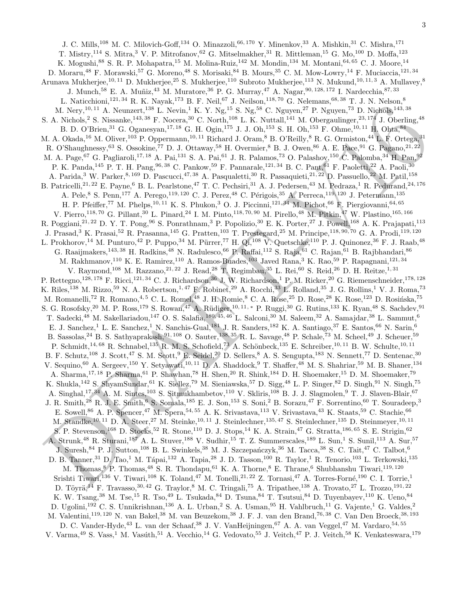V. Newyorth W. Framery 139. 11 (N. Y. Wei $^{1/2},\mathbf{V},\mathbf{V},\mathbf{S},\mathbf{V},\mathbf{S},\mathbf{V},\mathbf{S},\mathbf{V},\mathbf{S},\mathbf{V},\mathbf{S},\mathbf{S},\mathbf{S},\mathbf{S},\mathbf{S},\mathbf{S},\mathbf{S},\mathbf{S},\mathbf{S},\mathbf{S},\mathbf{S},\mathbf{S},\mathbf{S},\mathbf{S},\mathbf{S},\mathbf{S},\mathbf{S},\mathbf{S},\mathbf{S},$ J. C. Mills,<sup>108</sup> M. C. Milovich-Goff,<sup>134</sup> O. Minazzoli,<sup>66, 170</sup> Y. Minenkov,<sup>33</sup> A. Mishkin,<sup>31</sup> C. Mishra,<sup>171</sup> T. Mistry,<sup>114</sup> S. Mitra,<sup>3</sup> V. P. Mitrofanov,<sup>62</sup> G. Mitselmakher,<sup>31</sup> R. Mittleman,<sup>15</sup> G. Mo,<sup>100</sup> D. Moffa,<sup>123</sup> K. Mogushi,<sup>88</sup> S. R. P. Mohapatra,<sup>15</sup> M. Molina-Ruiz,<sup>142</sup> M. Mondin,<sup>134</sup> M. Montani,<sup>64, 65</sup> C. J. Moore,<sup>14</sup> D. Moraru,<sup>48</sup> F. Morawski,<sup>57</sup> G. Moreno,<sup>48</sup> S. Morisaki,<sup>84</sup> B. Mours,<sup>35</sup> C. M. Mow-Lowry,<sup>14</sup> F. Muciaccia,<sup>121,34</sup> Arunava Mukherjee,<sup>10, 11</sup> D. Mukherjee,<sup>25</sup> S. Mukherjee,<sup>110</sup> Subroto Mukherjee,<sup>113</sup> N. Mukund,<sup>10, 11, 3</sup> A. Mullavey,<sup>8</sup> J. Munch,<sup>58</sup> E. A. Muñiz,<sup>43</sup> M. Muratore,<sup>36</sup> P. G. Murray,<sup>47</sup> A. Nagar,<sup>90, 128, 172</sup> I. Nardecchia, <sup>87, 33</sup> L. Naticchioni,<sup>121, 34</sup> R. K. Nayak,<sup>173</sup> B. F. Neil,<sup>67</sup> J. Neilson,<sup>118, 70</sup> G. Nelemans,<sup>68, 38</sup> T. J. N. Nelson,<sup>8</sup> M. Nery,<sup>10, 11</sup> A. Neunzert,<sup>138</sup> L. Nevin,<sup>1</sup> K. Y. Ng,<sup>15</sup> S. Ng,<sup>58</sup> C. Nguyen,<sup>27</sup> P. Nguyen,<sup>73</sup> D. Nichols,<sup>143,38</sup> S. A. Nichols,<sup>2</sup> S. Nissanke,<sup>143, 38</sup> F. Nocera,<sup>30</sup> C. North,<sup>108</sup> L. K. Nuttall,<sup>141</sup> M. Obergaulinger,<sup>23, 174</sup> J. Oberling,<sup>48</sup> B. D. O'Brien,<sup>31</sup> G. Oganesyan,<sup>17, 18</sup> G. H. Ogin,<sup>175</sup> J. J. Oh,<sup>153</sup> S. H. Oh,<sup>153</sup> F. Ohme,<sup>10, 11</sup> H. Ohta,<sup>84</sup> M. A. Okada,<sup>16</sup> M. Oliver,<sup>103</sup> P. Oppermann,<sup>10, 11</sup> Richard J. Oram,<sup>8</sup> B. O'Reilly,<sup>8</sup> R. G. Ormiston,<sup>44</sup> L. F. Ortega,<sup>31</sup> R. O'Shaughnessy,<sup>63</sup> S. Ossokine,<sup>77</sup> D. J. Ottaway,<sup>58</sup> H. Overmier,<sup>8</sup> B. J. Owen,<sup>86</sup> A. E. Pace,<sup>91</sup> G. Pagano,<sup>21,22</sup> M. A. Page,<sup>67</sup> G. Pagliaroli,<sup>17, 18</sup> A. Pai,<sup>131</sup> S. A. Pai,<sup>61</sup> J. R. Palamos,<sup>73</sup> O. Palashov,<sup>150</sup> C. Palomba,<sup>34</sup> H. Pan,<sup>92</sup> P. K. Panda,<sup>145</sup> P. T. H. Pang,<sup>96, 38</sup> C. Pankow,<sup>59</sup> F. Pannarale,<sup>121, 34</sup> B. C. Pant,<sup>61</sup> F. Paoletti,<sup>22</sup> A. Paoli,<sup>30</sup> A. Parida,<sup>3</sup> W. Parker,<sup>8, 169</sup> D. Pascucci,<sup>47, 38</sup> A. Pasqualetti,<sup>30</sup> R. Passaquieti,<sup>21, 22</sup> D. Passuello,<sup>22</sup> M. Patil,<sup>158</sup> B. Patricelli,<sup>21, 22</sup> E. Payne,<sup>6</sup> B. L. Pearlstone,<sup>47</sup> T. C. Pechsiri,<sup>31</sup> A. J. Pedersen,<sup>43</sup> M. Pedraza,<sup>1</sup> R. Pedurand,<sup>24, 176</sup> A. Pele, <sup>8</sup> S. Penn, <sup>177</sup> A. Perego, <sup>119, 120</sup> C. J. Perez, <sup>48</sup> C. Périgois, <sup>35</sup> A. Perreca, <sup>119, 120</sup> J. Petermann, <sup>135</sup> H. P. Pfeiffer,<sup>77</sup> M. Phelps,<sup>10, 11</sup> K. S. Phukon,<sup>3</sup> O. J. Piccinni,<sup>121, 34</sup> M. Pichot,<sup>66</sup> F. Piergiovanni,<sup>64, 65</sup> V. Pierro,<sup>118, 70</sup> G. Pillant,<sup>30</sup> L. Pinard,<sup>24</sup> I. M. Pinto,<sup>118, 70, 90</sup> M. Pirello,<sup>48</sup> M. Pitkin,<sup>47</sup> W. Plastino,<sup>165, 166</sup> R. Poggiani,<sup>21, 22</sup> D. Y. T. Pong,<sup>96</sup> S. Ponrathnam,<sup>3</sup> P. Popolizio,<sup>30</sup> E. K. Porter,<sup>27</sup> J. Powell,<sup>168</sup> A. K. Prajapati,<sup>113</sup> J. Prasad,<sup>3</sup> K. Prasai,<sup>52</sup> R. Prasanna,<sup>145</sup> G. Pratten,<sup>103</sup> T. Prestegard,<sup>25</sup> M. Principe,<sup>118,90,70</sup> G. A. Prodi,<sup>119,120</sup> L. Prokhorov,<sup>14</sup> M. Punturo,<sup>42</sup> P. Puppo,<sup>34</sup> M. Pürrer,<sup>77</sup> H. Qi,<sup>108</sup> V. Quetschke,<sup>110</sup> P. J. Quinonez,<sup>36</sup> F. J. Raab,<sup>48</sup> G. Raaijmakers,<sup>143, 38</sup> H. Radkins,<sup>48</sup> N. Radulesco,<sup>66</sup> P. Raffai,<sup>112</sup> S. Raja,<sup>61</sup> C. Rajan,<sup>61</sup> B. Rajbhandari,<sup>86</sup> M. Rakhmanov,<sup>110</sup> K. E. Ramirez,<sup>110</sup> A. Ramos-Buades,<sup>103</sup> Javed Rana,<sup>3</sup> K. Rao,<sup>59</sup> P. Rapagnani,<sup>121,34</sup> V. Raymond,<sup>108</sup> M. Razzano,<sup>21, 22</sup> J. Read,<sup>28</sup> T. Regimbau,<sup>35</sup> L. Rei,<sup>60</sup> S. Reid,<sup>26</sup> D. H. Reitze,<sup>1, 31</sup> P. Rettegno,<sup>128, 178</sup> F. Ricci,<sup>121, 34</sup> C. J. Richardson,<sup>36</sup> J. W. Richardson,<sup>1</sup> P. M. Ricker,<sup>20</sup> G. Riemenschneider,<sup>178, 128</sup> K. Riles,<sup>138</sup> M. Rizzo,<sup>59</sup> N. A. Robertson,<sup>1, 47</sup> F. Robinet,<sup>29</sup> A. Rocchi,<sup>33</sup> L. Rolland,<sup>35</sup> J. G. Rollins,<sup>1</sup> V. J. Roma,<sup>73</sup> M. Romanelli,<sup>72</sup> R. Romano,<sup>4, 5</sup> C. L. Romel,<sup>48</sup> J. H. Romie,<sup>8</sup> C. A. Rose,<sup>25</sup> D. Rose,<sup>28</sup> K. Rose,<sup>123</sup> D. Rosińska,<sup>75</sup> S. G. Rosofsky,<sup>20</sup> M. P. Ross,<sup>179</sup> S. Rowan,<sup>47</sup> A. Rüdiger,<sup>10, 11,</sup> \* P. Ruggi,<sup>30</sup> G. Rutins,<sup>133</sup> K. Ryan,<sup>48</sup> S. Sachdev,<sup>91</sup> T. Sadecki,<sup>48</sup> M. Sakellariadou,<sup>147</sup> O. S. Salafia,<sup>180, 45, 46</sup> L. Salconi,<sup>30</sup> M. Saleem,<sup>32</sup> A. Samajdar,<sup>38</sup> L. Sammut,<sup>6</sup> E. J. Sanchez,<sup>1</sup> L. E. Sanchez,<sup>1</sup> N. Sanchis-Gual,<sup>181</sup> J. R. Sanders,<sup>182</sup> K. A. Santiago,<sup>37</sup> E. Santos,<sup>66</sup> N. Sarin,<sup>6</sup> B. Sassolas,<sup>24</sup> B. S. Sathyaprakash,<sup>91, 108</sup> O. Sauter,<sup>138, 35</sup> R. L. Savage,<sup>48</sup> P. Schale,<sup>73</sup> M. Scheel,<sup>49</sup> J. Scheuer,<sup>59</sup> P. Schmidt,<sup>14, 68</sup> R. Schnabel,<sup>135</sup> R. M. S. Schofield,<sup>73</sup> A. Schönbeck,<sup>135</sup> E. Schreiber,<sup>10, 11</sup> B. W. Schulte,<sup>10, 11</sup> B. F. Schutz,<sup>108</sup> J. Scott,<sup>47</sup> S. M. Scott,<sup>9</sup> E. Seidel,<sup>20</sup> D. Sellers,<sup>8</sup> A. S. Sengupta,<sup>183</sup> N. Sennett,<sup>77</sup> D. Sentenac,<sup>30</sup> V. Sequino,<sup>60</sup> A. Sergeev,<sup>150</sup> Y. Setyawati,<sup>10,11</sup> D. A. Shaddock,<sup>9</sup> T. Shaffer,<sup>48</sup> M. S. Shahriar,<sup>59</sup> M. B. Shaner,<sup>134</sup> A. Sharma,<sup>17, 18</sup> P. Sharma,<sup>61</sup> P. Shawhan,<sup>78</sup> H. Shen,<sup>20</sup> R. Shink,<sup>184</sup> D. H. Shoemaker,<sup>15</sup> D. M. Shoemaker,<sup>79</sup> K. Shukla,<sup>142</sup> S. ShyamSundar,<sup>61</sup> K. Siellez,<sup>79</sup> M. Sieniawska,<sup>57</sup> D. Sigg,<sup>48</sup> L. P. Singer,<sup>82</sup> D. Singh,<sup>91</sup> N. Singh,<sup>75</sup> A. Singhal,<sup>17, 34</sup> A. M. Sintes,<sup>103</sup> S. Sitmukhambetov,<sup>110</sup> V. Skliris,<sup>108</sup> B. J. J. Slagmolen,<sup>9</sup> T. J. Slaven-Blair,<sup>67</sup> J. R. Smith,<sup>28</sup> R. J. E. Smith,<sup>6</sup> S. Somala,<sup>185</sup> E. J. Son,<sup>153</sup> S. Soni,<sup>2</sup> B. Sorazu,<sup>47</sup> F. Sorrentino,<sup>60</sup> T. Souradeep,<sup>3</sup> E. Sowell,<sup>86</sup> A. P. Spencer,<sup>47</sup> M. Spera,<sup>54, 55</sup> A. K. Srivastava,<sup>113</sup> V. Srivastava,<sup>43</sup> K. Staats,<sup>59</sup> C. Stachie,<sup>66</sup> M. Standke,<sup>10, 11</sup> D. A. Steer,<sup>27</sup> M. Steinke,<sup>10, 11</sup> J. Steinlechner,<sup>135, 47</sup> S. Steinlechner,<sup>135</sup> D. Steinmeyer,<sup>10, 11</sup> S. P. Stevenson,<sup>168</sup> D. Stocks,<sup>52</sup> R. Stone,<sup>110</sup> D. J. Stops,<sup>14</sup> K. A. Strain,<sup>47</sup> G. Stratta,<sup>186, 65</sup> S. E. Strigin,<sup>62</sup> A. Strunk,<sup>48</sup> R. Sturani,<sup>187</sup> A. L. Stuver,<sup>188</sup> V. Sudhir,<sup>15</sup> T. Z. Summerscales,<sup>189</sup> L. Sun,<sup>1</sup> S. Sunil,<sup>113</sup> A. Sur,<sup>57</sup> J. Suresh, <sup>84</sup> P. J. Sutton,<sup>108</sup> B. L. Swinkels, <sup>38</sup> M. J. Szczepańczyk, <sup>36</sup> M. Tacca, <sup>38</sup> S. C. Tait, <sup>47</sup> C. Talbot, <sup>6</sup> D. B. Tanner,<sup>31</sup> D. Tao,<sup>1</sup> M. Tápai,<sup>132</sup> A. Tapia,<sup>28</sup> J. D. Tasson,<sup>100</sup> R. Taylor,<sup>1</sup> R. Tenorio,<sup>103</sup> L. Terkowski,<sup>135</sup> M. Thomas,  ${}^{8}$  P. Thomas,  ${}^{48}$  S. R. Thondapu,  ${}^{61}$  K. A. Thorne,  ${}^{8}$  E. Thrane,  ${}^{6}$  Shubhanshu Tiwari,  ${}^{119,120}$ Srishti Tiwari,<sup>136</sup> V. Tiwari,<sup>108</sup> K. Toland,<sup>47</sup> M. Tonelli,<sup>21, 22</sup> Z. Tornasi,<sup>47</sup> A. Torres-Forné,<sup>190</sup> C. I. Torrie,<sup>1</sup> D. Töyrä,<sup>14</sup> F. Travasso,<sup>30, 42</sup> G. Traylor, 8 M. C. Tringali,<sup>75</sup> A. Tripathee,<sup>138</sup> A. Trovato,<sup>27</sup> L. Trozzo,<sup>191, 22</sup> K. W. Tsang, <sup>38</sup> M. Tse, <sup>15</sup> R. Tso, <sup>49</sup> L. Tsukada, <sup>84</sup> D. Tsuna, <sup>84</sup> T. Tsutsui, <sup>84</sup> D. Tuyenbayev, <sup>110</sup> K. Ueno, <sup>84</sup> D. Ugolini,<sup>192</sup> C. S. Unnikrishnan,<sup>136</sup> A. L. Urban,<sup>2</sup> S. A. Usman,<sup>95</sup> H. Vahlbruch,<sup>11</sup> G. Vajente,<sup>1</sup> G. Valdes,<sup>2</sup> M. Valentini,<sup>119, 120</sup> N. van Bakel,<sup>38</sup> M. van Beuzekom,<sup>38</sup> J. F. J. van den Brand,<sup>76, 38</sup> C. Van Den Broeck,<sup>38, 193</sup> D. C. Vander-Hyde,<sup>43</sup> L. van der Schaaf,<sup>38</sup> J. V. VanHeijningen,<sup>67</sup> A. A. van Veggel,<sup>47</sup> M. Vardaro,<sup>54, 55</sup> V. Varma,<sup>49</sup> S. Vass,<sup>1</sup> M. Vasúth,<sup>51</sup> A. Vecchio,<sup>14</sup> G. Vedovato,<sup>55</sup> J. Veitch,<sup>47</sup> P. J. Veitch,<sup>58</sup> K. Venkateswara,<sup>179</sup>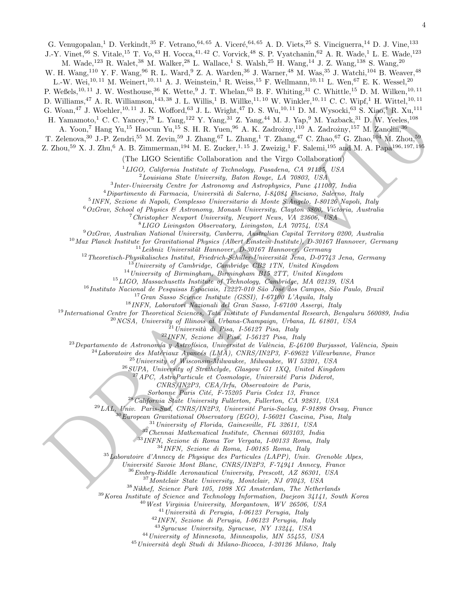G. Venugopalan,<sup>1</sup> D. Verkindt,<sup>35</sup> F. Vetrano,<sup>64, 65</sup> A. Viceré,<sup>64, 65</sup> A. D. Viets,<sup>25</sup> S. Vinciguerra,<sup>14</sup> D. J. Vine,<sup>133</sup>

J.-Y. Vinet, <sup>66</sup> S. Vitale, <sup>15</sup> T. Vo, <sup>43</sup> H. Vocca, <sup>41, 42</sup> C. Vorvick, <sup>48</sup> S. P. Vyatchanin, <sup>62</sup> A. R. Wade, <sup>1</sup> L. E. Wade, <sup>123</sup>

M. Wade,<sup>123</sup> R. Walet,<sup>38</sup> M. Walker,<sup>28</sup> L. Wallace,<sup>1</sup> S. Walsh,<sup>25</sup> H. Wang,<sup>14</sup> J. Z. Wang,<sup>138</sup> S. Wang,<sup>20</sup>

W. H. Wang,<sup>110</sup> Y. F. Wang,<sup>96</sup> R. L. Ward,<sup>9</sup> Z. A. Warden,<sup>36</sup> J. Warner,<sup>48</sup> M. Was,<sup>35</sup> J. Watchi,<sup>104</sup> B. Weaver,<sup>48</sup>

L.-W. Wei,<sup>10, 11</sup> M. Weinert,<sup>10, 11</sup> A. J. Weinstein,<sup>1</sup> R. Weiss,<sup>15</sup> F. Wellmann,<sup>10, 11</sup> L. Wen,<sup>67</sup> E. K. Wessel,<sup>20</sup>

P. Weßels,<sup>10, 11</sup> J. W. Westhouse,<sup>36</sup> K. Wette,<sup>9</sup> J. T. Whelan,<sup>63</sup> B. F. Whiting,<sup>31</sup> C. Whittle,<sup>15</sup> D. M. Wilken,<sup>10, 11</sup>

D. Williams,<sup>47</sup> A. R. Williamson,<sup>143, 38</sup> J. L. Willis,<sup>1</sup> B. Willke,<sup>11, 10</sup> W. Winkler,<sup>10, 11</sup> C. C. Wipf,<sup>1</sup> H. Wittel,<sup>10, 11</sup> G. Woan,<sup>47</sup> J. Woehler,<sup>10, 11</sup> J. K. Wofford,<sup>63</sup> J. L. Wright,<sup>47</sup> D. S. Wu,<sup>10, 11</sup> D. M. Wysocki,<sup>63</sup> S. Xiao,<sup>1</sup> R. Xu,<sup>111</sup>

H. Yamamoto,<sup>1</sup> C. C. Yancey,<sup>78</sup> L. Yang,<sup>122</sup> Y. Yang,<sup>31</sup> Z. Yang,<sup>44</sup> M. J. Yap,<sup>9</sup> M. Yazback,<sup>31</sup> D. W. Yeeles,<sup>108</sup>

A. Yoon,<sup>7</sup> Hang Yu,<sup>15</sup> Haocun Yu,<sup>15</sup> S. H. R. Yuen,<sup>96</sup> A. K. Zadrożny,<sup>110</sup> A. Zadrożny,<sup>157</sup> M. Zanolin,<sup>36</sup>

DRAFT-V16 T. Zelenova,<sup>30</sup> J.-P. Zendri,<sup>55</sup> M. Zevin,<sup>59</sup> J. Zhang,<sup>67</sup> L. Zhang,<sup>1</sup> T. Zhang,<sup>47</sup> C. Zhao,<sup>67</sup> G. Zhao,<sup>104</sup> M. Zhou,<sup>59</sup> Z. Zhou,<sup>59</sup> X. J. Zhu,<sup>6</sup> A. B. Zimmerman,<sup>194</sup> M. E. Zucker,<sup>1, 15</sup> J. Zweizig,<sup>1</sup> F. Salemi,<sup>195</sup> and M. A. Papa<sup>196, 197, 195</sup>

(The LIGO Scientific Collaboration and the Virgo Collaboration)

 $1LIGO, California Institute of Technology, Pasadena, CA 91125, USA$ 

<sup>2</sup>Louisiana State University, Baton Rouge, LA 70803, USA

<sup>3</sup>Inter-University Centre for Astronomy and Astrophysics, Pune 411007, India

 $^{4}$ Dipartimento di Farmacia, Università di Salerno, I-84084 Fisciano, Salerno, Italy

5 INFN, Sezione di Napoli, Complesso Universitario di Monte S.Angelo, I-80126 Napoli, Italy

 $6$ OzGrav, School of Physics & Astronomy, Monash University, Clayton 3800, Victoria, Australia

<sup>7</sup> Christopher Newport University, Newport News, VA 23606, USA

<sup>8</sup>LIGO Livingston Observatory, Livingston, LA 70754, USA

<sup>9</sup>OzGrav, Australian National University, Canberra, Australian Capital Territory 0200, Australia

<sup>10</sup>Max Planck Institute for Gravitational Physics (Albert Einstein Institute), D-30167 Hannover, Germany

 $^{11}$ Leibniz Universität Hannover, D-30167 Hannover, Germany

 $12$ Theoretisch-Physikalisches Institut, Friedrich-Schiller-Universität Jena, D-07743 Jena, Germany

 $^{13}$ University of Cambridge, Cambridge CB2 1TN, United Kingdom

 $14$ University of Birmingham, Birmingham B15 2TT, United Kingdom

<sup>15</sup>LIGO, Massachusetts Institute of Technology, Cambridge, MA 02139, USA

<sup>16</sup>Instituto Nacional de Pesquisas Espaciais, 12227-010 São José dos Campos, São Paulo, Brazil

 $17$ Gran Sasso Science Institute (GSSI), I-67100 L'Aquila, Italy

<sup>18</sup>INFN, Laboratori Nazionali del Gran Sasso, I-67100 Assergi, Italy

<sup>19</sup>International Centre for Theoretical Sciences, Tata Institute of Fundamental Research, Bengaluru 560089, India

 $^{20}NCSA$ , University of Illinois at Urbana-Champaign, Urbana, IL 61801, USA

 $^{21}$ Università di Pisa, I-56127 Pisa, Italy

<sup>22</sup>INFN, Sezione di Pisa, I-56127 Pisa, Italy

<sup>23</sup> Departamento de Astronomía y Astrofísica, Universitat de València, E-46100 Burjassot, València, Spain

 $^{24}$ Laboratoire des Matériaux Avancés (LMA), CNRS/IN2P3, F-69622 Villeurbanne, France

 $^{25}$ University of Wisconsin-Milwaukee, Milwaukee, WI 53201, USA

<sup>26</sup> SUPA, University of Strathclyde, Glasgow G1 1XQ, United Kingdom

 $^{27}$ APC, AstroParticule et Cosmologie, Université Paris Diderot,

CNRS/IN2P3, CEA/Irfu, Observatoire de Paris,

Sorbonne Paris Cité, F-75205 Paris Cedex 13, France

<sup>28</sup>California State University Fullerton, Fullerton, CA 92831, USA

 $^{29}LAL$ , Univ. Paris-Sud, CNRS/IN2P3, Université Paris-Saclay, F-91898 Orsay, France

<sup>30</sup>European Gravitational Observatory (EGO), I-56021 Cascina, Pisa, Italy

 $31$  University of Florida, Gainesville, FL 32611, USA

<sup>32</sup>Chennai Mathematical Institute, Chennai 603103, India

<sup>33</sup>INFN, Sezione di Roma Tor Vergata, I-00133 Roma, Italy

<sup>34</sup>INFN, Sezione di Roma, I-00185 Roma, Italy

 $35$ Laboratoire d'Annecy de Physique des Particules (LAPP), Univ. Grenoble Alpes,

Universit´e Savoie Mont Blanc, CNRS/IN2P3, F-74941 Annecy, France

 $36$ Embry-Riddle Aeronautical University, Prescott, AZ 86301, USA

<sup>37</sup>Montclair State University, Montclair, NJ 07043, USA

<sup>38</sup>Nikhef, Science Park 105, 1098 XG Amsterdam, The Netherlands

<sup>39</sup>Korea Institute of Science and Technology Information, Daejeon 34141, South Korea

<sup>40</sup>West Virginia University, Morgantown, WV 26506, USA

 $^{41}$ Università di Perugia, I-06123 Perugia, Italy

<sup>42</sup>INFN, Sezione di Perugia, I-06123 Perugia, Italy

<sup>43</sup>Syracuse University, Syracuse, NY 13244, USA

<sup>44</sup>University of Minnesota, Minneapolis, MN 55455, USA

<sup>45</sup> Università degli Studi di Milano-Bicocca, I-20126 Milano, Italy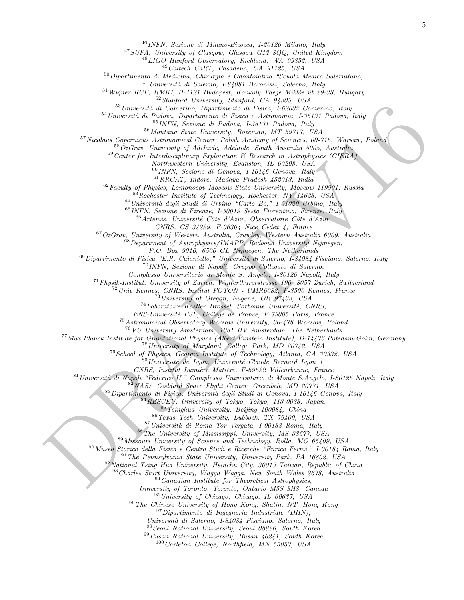INFN, Sezione di Milano-Bicocca, I-20126 Milano, Italy

SUPA, University of Glasgow, Glasgow G12 8QQ, United Kingdom

LIGO Hanford Observatory, Richland, WA 99352, USA

Caltech CaRT, Pasadena, CA 91125, USA

Dipartimento di Medicina, Chirurgia e Odontoiatria "Scuola Medica Salernitana,

" Universit`a di Salerno, I-84081 Baronissi, Salerno, Italy

Wigner RCP, RMKI, H-1121 Budapest, Konkoly Thege Miklós út 29-33, Hungary

Stanford University, Stanford, CA 94305, USA

Università di Camerino, Dipartimento di Fisica, I-62032 Camerino, Italy

<sup>54</sup> Università di Padova, Dipartimento di Fisica e Astronomia, I-35131 Padova, Italy

INFN, Sezione di Padova, I-35131 Padova, Italy

Montana State University, Bozeman, MT 59717, USA

Nicolaus Copernicus Astronomical Center, Polish Academy of Sciences, 00-716, Warsaw, Poland

 $58\,\overline{\text{O}}$ zGrav, University of Adelaide, Adelaide, South Australia 5005, Australia

Center for Interdisciplinary Exploration & Research in Astrophysics (CIERA),

Northwestern University, Evanston, IL 60208, USA

INFN, Sezione di Genova, I-16146 Genova, Italy

RRCAT, Indore, Madhya Pradesh 452013, India

Faculty of Physics, Lomonosov Moscow State University, Moscow 119991, Russia

 $^{63}Rochester$  Institute of Technology, Rochester, NY 14623, USA

Università degli Studi di Urbino "Carlo Bo," I-61029 Urbino, Italy

INFN, Sezione di Firenze, I-50019 Sesto Fiorentino, Firenze, Italy

Artemis, Université Côte d'Azur, Observatoire Côte d'Azur,

CNRS, CS 34229, F-06304 Nice Cedex 4, France

OzGrav, University of Western Australia, Crawley, Western Australia 6009, Australia

 $^{68}$ Department of Astrophysics/IMAPP, Radboud University Nijmegen,

P.O. Box 9010, 6500 GL Nijmegen, The Netherlands

 $^{69}$ Dipartimento di Fisica "E.R. Caianiello," Università di Salerno, I-84084 Fisciano, Salerno, Italy

INFN, Sezione di Napoli, Gruppo Collegato di Salerno,

Complesso Universitario di Monte S. Angelo, I-80126 Napoli, Italy

Physik-Institut, University of Zurich, Winterthurerstrasse 190, 8057 Zurich, Switzerland

Univ Rennes, CNRS, Institut FOTON - UMR6082, F-3500 Rennes, France

University of Oregon, Eugene, OR 97403, USA

<sup>74</sup>Laboratoire Kastler Brossel, Sorbonne Université, CNRS,

ENS-Université PSL, Collège de France, F-75005 Paris, France

Astronomical Observatory Warsaw University, 00-478 Warsaw, Poland

VU University Amsterdam, 1081 HV Amsterdam, The Netherlands

20. (a) Università di Cine al Piedro Regionale di Pesar, i Parizzo (a) nella contratta di Pesar (a) (a) 1992. (a) 1993. (a) 1993. (a) 1993. (a) 1993. (a) 1993. (a) 1993. (a) 1993. (a) 1993. (a) 1993. (a) 1993. (b) 1993. Max Planck Institute for Gravitational Physics (Albert Einstein Institute), D-14476 Potsdam-Golm, Germany

University of Maryland, College Park, MD 20742, USA

School of Physics, Georgia Institute of Technology, Atlanta, GA 30332, USA

Université de Lyon, Université Claude Bernard Lyon 1,

CNRS, Institut Lumière Matière, F-69622 Villeurbanne, France

<sup>81</sup> Università di Napoli "Federico II," Complesso Universitario di Monte S.Angelo, I-80126 Napoli, Italy

NASA Goddard Space Flight Center, Greenbelt, MD 20771, USA

Dipartimento di Fisica, Università degli Studi di Genova, I-16146 Genova, Italy

RESCEU, University of Tokyo, Tokyo, 113-0033, Japan.

<sup>85</sup>Tsinghua University, Beijing 100084, China

Texas Tech University, Lubbock, TX 79409, USA

 $^{87}$ Università di Roma Tor Vergata, I-00133 Roma, Italy

The University of Mississippi, University, MS 38677, USA

Missouri University of Science and Technology, Rolla, MO 65409, USA

Museo Storico della Fisica e Centro Studi e Ricerche "Enrico Fermi," I-00184 Roma, Italy

<sup>91</sup>The Pennsylvania State University, University Park, PA 16802, USA

National Tsing Hua University, Hsinchu City, 30013 Taiwan, Republic of China

Charles Sturt University, Wagga Wagga, New South Wales 2678, Australia

Canadian Institute for Theoretical Astrophysics,

University of Toronto, Toronto, Ontario M5S 3H8, Canada

University of Chicago, Chicago, IL 60637, USA

The Chinese University of Hong Kong, Shatin, NT, Hong Kong

 $^{97}$ Dipartimento di Ingegneria Industriale (DIIN),

Universit`a di Salerno, I-84084 Fisciano, Salerno, Italy

<sup>98</sup> Seoul National University, Seoul 08826, South Korea

Pusan National University, Busan 46241, South Korea

Carleton College, Northfield, MN 55057, USA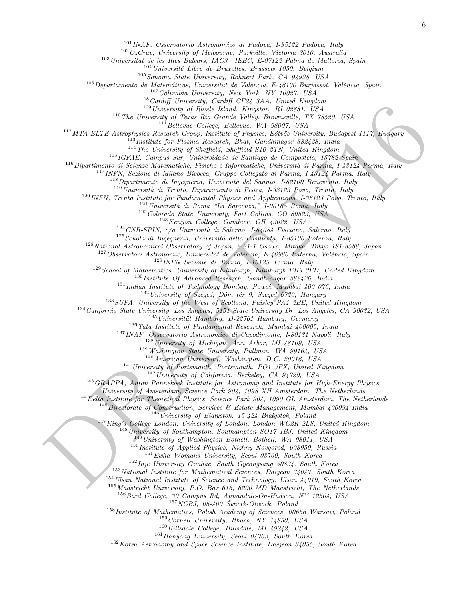INAF, Osservatorio Astronomico di Padova, I-35122 Padova, Italy

 $102OzGrav$ , University of Melbourne, Parkville, Victoria 3010, Australia

Universitat de les Illes Balears, IAC3—IEEC, E-07122 Palma de Mallorca, Spain

Université Libre de Bruxelles, Brussels 1050, Belgium

Sonoma State University, Rohnert Park, CA 94928, USA

Departamento de Matemáticas, Universitat de València, E-46100 Burjassot, València, Spain

Columbia University, New York, NY 10027, USA

Cardiff University, Cardiff CF24 3AA, United Kingdom

University of Rhode Island, Kingston, RI 02881, USA

The University of Texas Rio Grande Valley, Brownsville, TX 78520, USA

<sup>111</sup>Bellevue College, Bellevue, WA 98007, USA

22. The context of primaring of the large context of the primaring of the context of the context of the context of the context of the context of the context of the context of the context of the context of the context of MTA-ELTE Astrophysics Research Group, Institute of Physics, Eötvös University, Budapest 1117, Hungary

 $^{113}$ Institute for Plasma Research, Bhat, Gandhinagar 382428, India

The University of Sheffield, Sheffield S10 2TN, United Kingdom

IGFAE, Campus Sur, Universidade de Santiago de Compostela, 15782 Spain

 $^{116}$ Dipartimento di Scienze Matematiche, Fisiche e Informatiche, Università di Parma, I-43124 Parma, Italy

INFN, Sezione di Milano Bicocca, Gruppo Collegato di Parma, I-43124 Parma, Italy

<sup>118</sup>Dipartimento di Ingegneria, Università del Sannio, I-82100 Benevento, Italy

 $^{119}$ Università di Trento, Dipartimento di Fisica, I-38123 Povo, Trento, Italy

INFN, Trento Institute for Fundamental Physics and Applications, I-38123 Povo, Trento, Italy

Università di Roma "La Sapienza," I-00185 Roma, Italy

Colorado State University, Fort Collins, CO 80523, USA

Kenyon College, Gambier, OH 43022, USA

CNR-SPIN, c/o Università di Salerno, I-84084 Fisciano, Salerno, Italy

Scuola di Ingegneria, Università della Basilicata, I-85100 Potenza, Italy

<sup>126</sup> National Astronomical Observatory of Japan, 2-21-1 Osawa, Mitaka, Tokyo 181-8588, Japan

 $127Observatori Astronòmic, Universitat de València, E-46980 Paterna, València, Spain$ 

INFN Sezione di Torino, I-10125 Torino, Italy

<sup>129</sup> School of Mathematics, University of Edinburgh, Edinburgh EH9 3FD, United Kingdom

Institute Of Advanced Research, Gandhinagar 382426, India

<sup>131</sup>Indian Institute of Technology Bombay, Powai, Mumbai 400 076, India

University of Szeged, Dóm tér 9, Szeged 6720, Hungary

<sup>133</sup> SUPA, University of the West of Scotland, Paisley PA1 2BE, United Kingdom

<sup>134</sup>California State University, Los Angeles, 5151 State University Dr, Los Angeles, CA 90032, USA

Universität Hamburg, D-22761 Hamburg, Germany

Tata Institute of Fundamental Research, Mumbai  $400005$ , India

INAF, Osservatorio Astronomico di Capodimonte, I-80131 Napoli, Italy

University of Michigan, Ann Arbor, MI 48109, USA

Washington State University, Pullman, WA 99164, USA

American University, Washington, D.C. 20016, USA

University of Portsmouth, Portsmouth, PO1 3FX, United Kingdom

 $^{142}$ University of California, Berkeley, CA 94720, USA

GRAPPA, Anton Pannekoek Institute for Astronomy and Institute for High-Energy Physics,

University of Amsterdam, Science Park 904, 1098 XH Amsterdam, The Netherlands

<sup>144</sup> Delta Institute for Theoretical Physics, Science Park 904, 1090 GL Amsterdam, The Netherlands

 $^{145}$ Directorate of Construction, Services & Estate Management, Mumbai 400094 India

 $^{146}$ University of Białystok, 15-424 Białystok, Poland

 $^{147}$ King's College London, University of London, London WC2R 2LS, United Kingdom

<sup>148</sup>University of Southampton, Southampton SO17 1BJ, United Kingdom

University of Washington Bothell, Bothell, WA 98011, USA

<sup>150</sup>Institute of Applied Physics, Nizhny Novgorod, 603950, Russia

Ewha Womans University, Seoul 03760, South Korea

Inje University Gimhae, South Gyeongsang 50834, South Korea

National Institute for Mathematical Sciences, Daejeon 34047, South Korea

Ulsan National Institute of Science and Technology, Ulsan 44919, South Korea

Maastricht University, P.O. Box 616, 6200 MD Maastricht, The Netherlands

<sup>156</sup> Bard College, 30 Campus Rd, Annandale-On-Hudson, NY 12504, USA

 $157 NCBJ$ , 05-400 Świerk-Otwock, Poland

<sup>158</sup> Institute of Mathematics, Polish Academy of Sciences, 00656 Warsaw, Poland

Cornell University, Ithaca, NY 14850, USA

 $^{160}\,Hills$  dale College, Hillsdale, MI 49242, USA

Hanyang University, Seoul 04763, South Korea

Korea Astronomy and Space Science Institute, Daejeon 34055, South Korea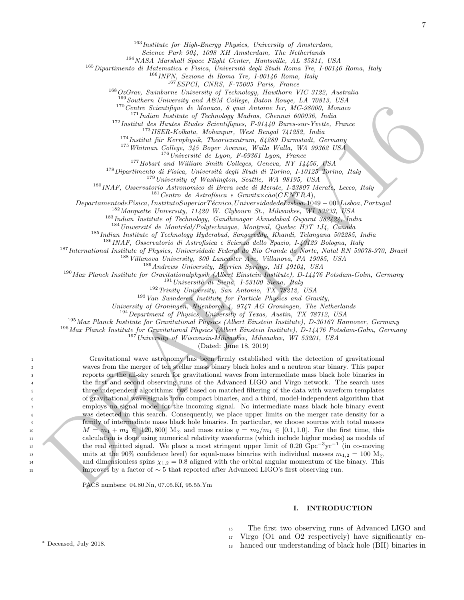<sup>163</sup>Institute for High-Energy Physics, University of Amsterdam,

Science Park 904, 1098 XH Amsterdam, The Netherlands

NASA Marshall Space Flight Center, Huntsville, AL 35811, USA

 $^{165}$ Dipartimento di Matematica e  $\stackrel{.}{F}$ isica, Università degli Studi Roma Tre, I-00146 Roma, Italy

INFN, Sezione di Roma Tre, I-00146 Roma, Italy

ESPCI, CNRS, F-75005 Paris, France

 $168OzGrav$ , Swinburne University of Technology, Hawthorn VIC 3122, Australia

Southern University and A&M College, Baton Rouge, LA 70813, USA

Centre Scientifique de Monaco, 8 quai Antoine Ier, MC-98000, Monaco

<sup>171</sup> Indian Institute of Technology Madras, Chennai 600036, India

Institut des Hautes Etudes Scientifiques, F-91440 Bures-sur-Yvette, France

IISER-Kolkata, Mohanpur, West Bengal 741252, India

 $1^{174}$ Institut für Kernphysik, Theoriezentrum, 64289 Darmstadt, Germany

Whitman College, 345 Boyer Avenue, Walla Walla, WA 99362 USA

Université de Lyon, F-69361 Lyon, France

<sup>177</sup> Hobart and William Smith Colleges, Geneva, NY 14456, USA

 $1^{178}$ Dipartimento di Fisica, Università degli Studi di Torino, I-10125 Torino, Italy

<sup>179</sup>University of Washington, Seattle, WA 98195, USA

INAF, Osservatorio Astronomico di Brera sede di Merate, I-23807 Merate, Lecco, Italy

Centro de Astrofísica e Gravita $\times c\tilde{a}o(CENTRA),$ 

 $Departmento def'isica, InstitutoSuperior T{\'ecnico, Universidade de Lisboa, 1049 - 001Lisboa, Portugal$ 

Marquette University, 11420 W. Clybourn St., Milwaukee, WI 53233, USA

<sup>183</sup>Indian Institute of Technology, Gandhinagar Ahmedabad Gujarat 382424, India

Université de Montréal/Polytechnique, Montreal, Quebec H3T 1J4, Canada

Indian Institute of Technology Hyderabad, Sangareddy, Khandi, Telangana 502285, India

INAF, Osservatorio di Astrofisica e Scienza dello Spazio, I-40129 Bologna, Italy

International Institute of Physics, Universidade Federal do Rio Grande do Norte, Natal RN 59078-970, Brazil

Villanova University, 800 Lancaster Ave, Villanova, PA 19085, USA

Andrews University, Berrien Springs, MI 49104, USA

Max Planck Institute for Gravitationalphysik (Albert Einstein Institute), D-14476 Potsdam-Golm, Germany

Università di Siena, I-53100 Siena, Italy

<sup>192</sup> Trinity University, San Antonio, TX 78212, USA

<sup>193</sup> Van Swinderen Institute for Particle Physics and Gravity,

University of Groningen, Nijenborgh 4, 9747 AG Groningen, The Netherlands

<sup>194</sup>Department of Physics, University of Texas, Austin, TX 78712, USA

Max Planck Institute for Gravitational Physics (Albert Einstein Institute), D-30167 Hannover, Germany

Max Planck Institute for Gravitational Physics (Albert Einstein Institute), D-14476 Potsdam-Golm, Germany

University of Wisconsin-Milwaukee, Milwaukee, WI 53201, USA

(Dated: June 18, 2019)

The Schematics of European Constraints (a)  $\mu$  and Antonic i.e., 10, 2000). Moreover, 2011 and 2011 and 2011 and 2011 and 2011 and 2011 and 2011 and 2011 and 2011 and 2011 and 2011 and 2011 and 2011 and 2011 and 2011 and Gravitational wave astronomy has been firmly established with the detection of gravitational waves from the merger of ten stellar mass binary black holes and a neutron star binary. This paper reports on the all-sky search for gravitational waves from intermediate mass black hole binaries in the first and second observing runs of the Advanced LIGO and Virgo network. The search uses three independent algorithms: two based on matched filtering of the data with waveform templates of gravitational wave signals from compact binaries, and a third, model-independent algorithm that employs no signal model for the incoming signal. No intermediate mass black hole binary event was detected in this search. Consequently, we place upper limits on the merger rate density for a family of intermediate mass black hole binaries. In particular, we choose sources with total masses  $M = m_1 + m_2 \in [120, 800]$  M<sub>o</sub> and mass ratios  $q = m_2/m_1 \in [0.1, 1.0]$ . For the first time, this calculation is done using numerical relativity waveforms (which include higher modes) as models of the real emitted signal. We place a most stringent upper limit of 0.20  $Gpc^{-3}yr^{-1}$  (in co-moving 13 units at the 90% confidence level) for equal-mass binaries with individual masses  $m_{1,2} = 100 \text{ M}_{\odot}$ 14 and dimensionless spins  $\chi_{1,2} = 0.8$  aligned with the orbital angular momentum of the binary. This improves by a factor of ∼ 5 that reported after Advanced LIGO's first observing run.

PACS numbers: 04.80.Nn, 07.05.Kf, 95.55.Ym

#### I. INTRODUCTION

 The first two observing runs of Advanced LIGO and Virgo (O1 and O2 respectively) have significantly en-hanced our understanding of black hole (BH) binaries in

<sup>∗</sup> Deceased, July 2018.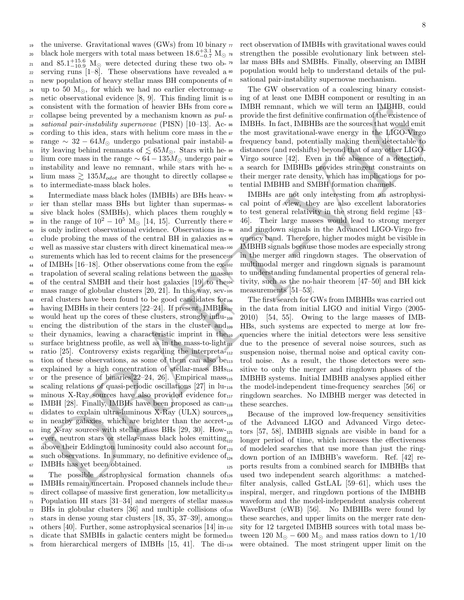<sup>19</sup> the universe. Gravitational waves (GWs) from 10 binary  $\pi$  $_{20}$  black hole mergers with total mass between  $18.6^{+3.1}_{-0.7}$  M<sub>o</sub> 21 and  $85.1^{+15.6}_{-10.9}$  M<sub> $\odot$ </sub> were detected during these two ob-22 serving runs  $[1-8]$ . These observations have revealed a  $\infty$ <sup>23</sup> new population of heavy stellar mass BH components of  $_{24}$  up to 50  $M_{\odot}$ , for which we had no earlier electromag-  $_{22}$ <sup>25</sup> netic observational evidence [8, 9]. This finding limit is <sup>26</sup> consistent with the formation of heavier BHs from core  $27$  collapse being prevented by a mechanism known as  $pul$ -<sup>28</sup> sational pair-instability supernovae (PISN) [10–13]. Ac-<sup>29</sup> cording to this idea, stars with helium core mass in the 30 range  $\sim 32 - 64 M_{\odot}$  undergo pulsational pair instabil- 88 31 ity leaving behind remnants of  $\lesssim 65 M_{\odot}$ . Stars with he- 89 32 lium core mass in the range  $\sim 64 - 135 M_{\odot}$  undergo pair so <sup>33</sup> instability and leave no remnant, while stars with he-<sup>34</sup> lium mass  $\gtrsim 135M_{odot}$  are thought to directly collapse  $\frac{1}{2}$ <sup>35</sup> to intermediate-mass black holes.

consistent with borontom of here is Bis hom case . IMBH remark, which we will term an IMBH remark and the borontom of the state of the state of the state of the state of the state of the state of the state of the state of 36 Intermediate mass black holes (IMBHs) are BHs heav-  $94$  ier than stellar mass BHs but lighter than supermas- sive black holes (SMBHs), which places them roughly <sup>39</sup> in the range of  $10^2 - 10^5$  M<sub>o</sub> [14, 15]. Currently there is only indirect observational evidence. Observations in-<sup>41</sup> clude probing the mass of the central BH in galaxies as <sup>99</sup> well as massive star clusters with direct kinematical mea- surements which has led to recent claims for the presence of IMBHs [16–18]. Other observations come from the ex- trapolation of several scaling relations between the mass of the central SMBH and their host galaxies [19] to the mass range of globular clusters [20, 21]. In this way, sev- eral clusters have been found to be good candidates for 49 having IMBHs in their centers [22–24]. If present, IMBHs<sub>107</sub> would heat up the cores of these clusters, strongly influ- encing the distribution of the stars in the cluster and their dynamics, leaving a characteristic imprint in the surface brightness profile, as well as in the mass-to-light<sub>111</sub>  $_{54}$  ratio [25]. Controversy exists regarding the interpreta- $_{112}$ <sup>55</sup> tion of these observations, as some of them can also be<sub>113</sub> <sub>56</sub> explained by a high concentration of stellar-mass BHs<sub>114</sub> or the presence of binaries  $[22-24, 26]$ . Empirical mass<sub>115</sub> scaling relations of quasi-periodic oscillations [27] in lu- minous X-Ray sources have also provided evidence for IMBH [28]. Finally, IMBHs have been proposed as can- $_{118}$  didates to explain ultra-luminous  $\bar{X}$ -Ray (ULX) sources<sub>119</sub> in nearby galaxies, which are brighter than the accret- $_{120}$  $\epsilon_3$  ing X-ray sources with stellar mass BHs [29, 30]. How- $_{64}$  ever, neutron stars or stellar-mass black holes emitting<sub>122</sub>  $\epsilon$ <sub>65</sub> above their Eddington luminosity could also account for  $\epsilon$ <sub>123</sub>  $\frac{66}{124}$  such observations. In summary, no definitive evidence of  $\frac{1}{24}$ IMBHs has yet been obtained.

The possible astrophysical formation channels of $_{126}$  IMBHs remain uncertain. Proposed channels include the direct collapse of massive first generation, low metallicity  $_{71}$  Population III stars [31–34] and mergers of stellar mass<sub>129</sub> BHs in globular clusters [36] and multiple collisions of stars in dense young star clusters [18, 35, 37–39], among  $_{74}$  others [40]. Further, some astrophysical scenarios [14] in-132 dicate that SMBHs in galactic centers might be formed from hierarchical mergers of IMBHs [15, 41]. The direct observation of IMBHs with gravitational waves could strengthen the possible evolutionary link between stellar mass BHs and SMBHs. Finally, observing an IMBH population would help to understand details of the pulsational pair-instability supernovae mechanism.

The GW observation of a coalescing binary consisting of at least one IMBH component or resulting in an IMBH remnant, which we will term an IMBHB, could <sup>85</sup> provide the first definitive confirmation of the existence of IMBHs. In fact, IMBHBs are the sources that would emit the most gravitational-wave energy in the LIGO-Virgo frequency band, potentially making them detectable to distances (and redshifts) beyond that of any other LIGO-Virgo source  $[42]$ . Even in the absence of a detection, a search for IMBHBs provides stringent constraints on their merger rate density, which has implications for po-93 tential IMBHB and SMBH formation channels.

IMBHs are not only interesting from an astrophysical point of view, they are also excellent laboratories <sup>96</sup> to test general relativity in the strong field regime [43– 46]. Their large masses would lead to strong merger and ringdown signals in the Advanced LIGO-Virgo frequency band. Therefore, higher modes might be visible in <sup>100</sup> IMBHB signals because those modes are especially strong in the merger and ringdown stages. The observation of multimodal merger and ringdown signals is paramount to understanding fundamental properties of general relativity, such as the no-hair theorem  $[47-50]$  and BH kick measurements  $[51-53]$ .

The first search for GWs from IMBHBs was carried out in the data from initial LIGO and initial Virgo (2005- $2010$ ) [54, 55]. Owing to the large masses of IMB-HBs, such systems are expected to merge at low frequencies where the initial detectors were less sensitive due to the presence of several noise sources, such as suspension noise, thermal noise and optical cavity control noise. As a result, the those detectors were sensitive to only the merger and ringdown phases of the <sup>115</sup> IMBHB systems. Initial IMBHB analyses applied either the model-independent time-frequency searches [56] or ringdown searches. No IMBHB merger was detected in these searches.

<sup>119</sup> Because of the improved low-frequency sensitivities of the Advanced LIGO and Advanced Virgo detectors [57, 58], IMBHB signals are visible in band for a longer period of time, which increases the effectiveness of modeled searches that use more than just the ringdown portion of an IMBHB's waveform. Ref. [42] re-<sup>125</sup> ports results from a combined search for IMBHBs that used two independent search algorithms: a matchedfilter analysis, called  $GstLAL$  [59–61], which uses the inspiral, merger, and ringdown portions of the IMBHB waveform and the model-independent analysis coherent WaveBurst (cWB) [56]. No IMBHBs were found by these searches, and upper limits on the merger rate density for 12 targeted IMBHB sources with total mass between 120  $M_{\odot}$  – 600  $M_{\odot}$  and mass ratios down to 1/10 were obtained. The most stringent upper limit on the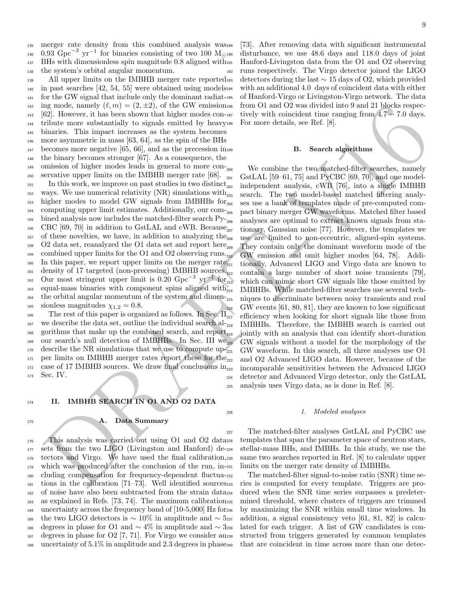merger rate density from this combined analysis was <sup>136</sup> 0.93 Gpc<sup>-3</sup> yr<sup>-1</sup> for binaries consisting of two 100 M<sub>☉</sub> BHs with dimensionless spin magnitude 0.8 aligned with the system's orbital angular momentum.

139 All upper limits on the IMBHB merger rate reported 193 <sup>140</sup> in past searches [42, 54, 55] were obtained using models <sup>141</sup> for the GW signal that include only the dominant radiat-<sup>142</sup> ing mode, namely  $(\ell, m) = (2, \pm 2)$ , of the GW emission <sup>143</sup> [62]. However, it has been shown that higher modes con-197  $[62]$ . However, it has been shown that higher modes con-197 <sup>144</sup> tribute more substantially to signals emitted by heavy <sup>145</sup> binaries. This impact increases as the system becomes <sup>146</sup> more asymmetric in mass [63, 64], as the spin of the BHs 147 becomes more negative [65, 66], and as the precession in199 <sup>148</sup> the binary becomes stronger [67]. As a consequence, the  $_{149}$  omission of higher modes leads in general to more con- $_{200}$ 150 servative upper limits on the IMBHB merger rate  $[68]$ .

 $\ln$  In this work, we improve on past studies in two distinct.  $152$  ways. We use numerical relativity (NR) simulations with  $_{203}$ 153 higher modes to model GW signals from IMBHBs  $for_{204}$  $_{154}$  computing upper limit estimates. Additionally, our com-<sub>205</sub>  $_{155}$  bined analysis now includes the matched-filter search Py-<sub>206</sub> 156 CBC [69, 70] in addition to GstLAL and cWB. Because<sub>207</sub>  $_{157}$  of these novelties, we have, in addition to analyzing the<sub>208</sub>  $158$  O2 data set, reanalyzed the O1 data set and report here<sub>209</sub>  $_{159}$  combined upper limits for the O1 and O2 observing runs. $_{210}$  $_{160}$  In this paper, we report upper limits on the merger rate<sub>211</sub> 161 density of 17 targeted (non-precessing) IMBHB sources.  $_{162}$  Our most stringent upper limit is 0.20 Gpc<sup>-3</sup> yr<sup>-1</sup> for  $_{163}$  equal-mass binaries with component spins aligned with $_{214}$  $_{164}$  the orbital angular momentum of the system and dimen- $_{215}$ 165 sionless magnitudes  $\chi_{1,2} = 0.8$ .

166 The rest of this paper is organized as follows. In Sec.  $II_{217}$  $_{167}$  we describe the data set, outline the individual search al- $_{218}$  $_{168}$  gorithms that make up the combined search, and report<sub>219</sub>  $_{169}$  our search's null detection of IMBHBs. In Sec. III we<sub>220</sub>  $_{170}$  describe the NR simulations that we use to compute up- $_{221}$ 171 per limits on IMBHB merger rates report these for the<sub>222</sub>  $172$  case of 17 IMBHB sources. We draw final conclusions  $in_{223}$ <sup>173</sup> Sec. IV.

#### 175 **A. Data Summary**

174 II. IMBHB SEARCH IN O1 AND O2 DATA

 This analysis was carried out using O1 and O2 data sets from the two LIGO (Livingston and Hanford) de- tectors and Virgo. We have used the final calibration, which was produced after the conclusion of the run, in- cluding compensation for frequency-dependent fluctua- tions in the calibration [71–73]. Well identified sources of noise have also been subtracted from the strain data as explained in Refs. [73, 74]. The maximum calibration  $_{184}$  uncertainty across the frequency band of [10-5,000] Hz for $_{236}$ <sup>185</sup> the two LIGO detectors is ∼ 10% in amplitude and ∼  $5_{237}$ <br><sup>186</sup> degrees in phase for O1 and ∼ 4% in amplitude and ∼ 3<sub>238</sub> 186 degrees in phase for O1 and  $\sim$  4% in amplitude and  $\sim$  3<sub>238</sub> degrees in phase for O2 [7, 71]. For Virgo we consider an<sub>239</sub> degrees in phase for  $O2$  [7, 71]. For Virgo we consider an<sub>239</sub> 188 uncertainty of  $5.1\%$  in amplitude and  $2.3$  degrees in phase  $_{240}$ 

[73]. After removing data with significant instrumental disturbance, we use  $48.6$  days and  $118.0$  days of joint Hanford-Livingston data from the O1 and O2 observing <sup>192</sup> runs respectively. The Virgo detector joined the LIGO detectors during the last  $\sim$  15 days of O2, which provided with an additional 4.0 days of coincident data with either of Hanford-Virgo or Livingston-Virgo network. The data from O1 and O2 was divided into 9 and 21 blocks respectively with coincident time ranging from  $4.7 - 7.0$  days. For more details, see Ref. [8].

### B. Search algorithms

ny mode, mandy (2, m) – C2, 22), of the GW cattestan behavior in the O2 was divided into 9 and 2 binds are not<br>not the main particle in the state of the GW catted in the main of the main of the main of the state of the st We combine the two matched-filter searches, namely GstLAL  $[59–61, 75]$  and PyCBC  $[69, 70]$ , and one modelindependent analysis, cWB [76], into a single IMBHB search. The two model-based matched filtering analyses use a bank of templates made of pre-computed compact binary merger GW waveforms. Matched filter based analyses are optimal to extract known signals from stationary, Gaussian noise [77]. However, the templates we use are limited to non-eccentric, aligned-spin systems. They contain only the dominant waveform mode of the <sup>210</sup> GW emission and omit higher modes [64, 78]. Addi-<sup>211</sup> tionally, Advanced LIGO and Virgo data are known to  $\alpha$ <sub>212</sub> contain a large number of short noise transients [79], which can mimic short GW signals like those emitted by <sup>214</sup> IMBHBs. While matched-filter searches use several tech-<sup>215</sup> niques to discriminate between noisy transients and real <sup>216</sup> GW events [61, 80, 81], they are known to lose significant <sup>217</sup> efficiency when looking for short signals like those from <sup>218</sup> IMBHBs. Therefore, the IMBHB search is carried out jointly with an analysis that can identify short-duration GW signals without a model for the morphology of the GW waveform. In this search, all three analyses use O1 and O2 Advanced LIGO data. However, because of the incomparable sensitivities between the Advanced LIGO <sup>224</sup> detector and Advanced Virgo detector, only the GstLAL <sup>225</sup> analysis uses Virgo data, as is done in Ref. [8].

### <sup>226</sup> 1. Modeled analyses

<sup>227</sup> The matched-filter analyses GstLAL and PyCBC use templates that span the parameter space of neutron stars, stellar-mass BHs, and IMBHs. In this study, we use the same two searches reported in Ref. [8] to calculate upper limits on the merger rate density of IMBHBs.

The matched-filter signal-to-noise ratio (SNR) time series is computed for every template. Triggers are produced when the SNR time series surpasses a predetermined threshold, where clusters of triggers are trimmed by maximizing the SNR within small time windows. In addition, a signal consistency veto  $[61, 81, 82]$  is calculated for each trigger. A list of GW candidates is constructed from triggers generated by common templates that are coincident in time across more than one detec-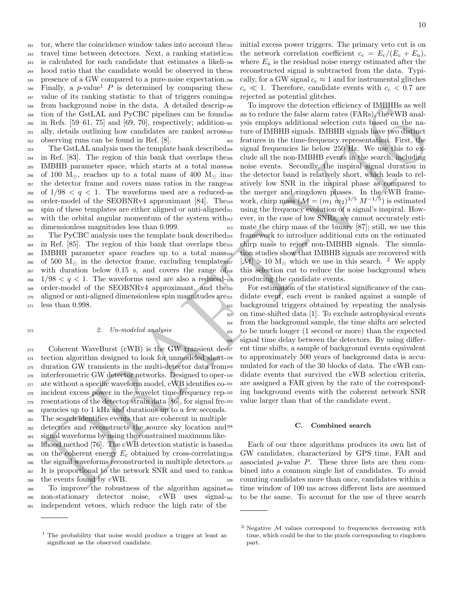tor, where the coincidence window takes into account the travel time between detectors. Next, a ranking statistic is calculated for each candidate that estimates a likeli- hood ratio that the candidate would be observed in the presence of a GW compared to a pure-noise expectation.  $_{246}$  Finally, a *p*-value<sup>1</sup> *P* is determined by comparing the value of its ranking statistic to that of triggers coming from background noise in the data. A detailed descrip- tion of the GstLAL and PyCBC pipelines can be found  $_{250}$  in Refs. [59–61, 75] and [69, 70], respectively; addition- $_{301}$  ally, details outlining how candidates are ranked across observing runs can be found in Ref. [8].

 The GstLAL analysis uses the template bank described in Ref. [83]. The region of this bank that overlaps the IMBHB parameter space, which starts at a total mass 256 of 100  $M_{\odot}$ , reaches up to a total mass of 400  $M_{\odot}$  insor the detector frame and covers mass ratios in the range 258 of  $1/98 < q < 1$ . The waveforms used are a reduced-309 order-model of the SEOBNRv4 approximant [84]. The spin of these templates are either aligned or anti-aligned with the orbital angular momentum of the system with dimensionless magnitudes less than 0.999.

<sup>263</sup> The PyCBC analysis uses the template bank described <sup>314</sup> in Ref. [85]. The region of this bank that overlaps the IMBHB parameter space reaches up to a total mass 266 of 500  $M_{\odot}$  in the detector frame, excluding templates with duration below 0.15 s, and covers the range of  $268 \text{ } 1/98 < q < 1.$  The waveforms used are also a reduced-319 order-model of the SEOBNRv4 approximant, and the aligned or anti-aligned dimensionless spin magnitudes are less than 0.998.

# <sup>272</sup> 2. Un-modeled analysis

 Coherent WaveBurst (cWB) is the GW transient de- tection algorithm designed to look for unmodeled short- duration GW transients in the multi-detector data from interferometric GW detector networks. Designed to oper- ate without a specific waveform model, cWB identifies co- incident excess power in the wavelet time-frequency rep- resentations of the detector strain data [86], for signal fre- quencies up to 1 kHz and durations up to a few seconds. The search identifies events that are coherent in multiple detectors and reconstructs the source sky location and signal waveforms by using the constrained maximum like- lihood method [76]. The cWB detection statistic is based on the coherent energy  $E_c$  obtained by cross-correlating  $235$  the signal waveforms reconstructed in multiple detectors. It is proportional to the network SNR and used to rank the events found by cWB.

<sup>289</sup> To improve the robustness of the algorithm against <sup>290</sup> non-stationary detector noise, cWB uses signal-<sup>291</sup> independent vetoes, which reduce the high rate of the

initial excess power triggers. The primary veto cut is on the network correlation coefficient  $c_c = E_c/(E_c + E_n)$ , where  $E_n$  is the residual noise energy estimated after the reconstructed signal is subtracted from the data. Typically, for a GW signal  $c_c \approx 1$  and for instrumental glitches  $c_c \ll 1$ . Therefore, candidate events with  $c_c < 0.7$  are rejected as potential glitches.

For hard space and to that A decided interesting on To interest the detection of ROBHRs are all the space of the space of the space of the space of the space of the space of the space of the space of the space of the spac To improve the detection efficiency of IMBHBs as well as to reduce the false alarm rates (FARs), the cWB analysis employs additional selection cuts based on the nature of IMBHB signals. IMBHB signals have two distinct <sup>303</sup> features in the time-frequency representation. First, the signal frequencies lie below 250 Hz. We use this to exclude all the non-IMBHB events in the search, including noise events. Secondly, the inspiral signal duration in the detector band is relatively short, which leads to relatively low SNR in the inspiral phase as compared to the merger and ringdown phases. In the cWB frame-310 work, chirp mass  $(M = (m_1 \ m_2)^{3/5} \ M^{-1/5})$  is estimated using the frequency evolution of a signal's inspiral. However, in the case of low SNRs, we cannot accurately esti-<sup>313</sup> mate the chirp mass of the binary [87]; still, we use this framework to introduce additional cuts on the estimated <sup>315</sup> chirp mass to reject non-IMBHB signals. The simulation studies show that IMBHB signals are recovered with  $_{317}$  |M| > 10 M<sub>\o</sub> which we use in this search. <sup>2</sup> We apply this selection cut to reduce the noise background when producing the candidate events.

For estimation of the statistical significance of the candidate event, each event is ranked against a sample of <sup>322</sup> background triggers obtained by repeating the analysis <sup>323</sup> on time-shifted data [1]. To exclude astrophysical events <sup>324</sup> from the background sample, the time shifts are selected <sup>325</sup> to be much longer (1 second or more) than the expected <sup>326</sup> signal time delay between the detectors. By using different time shifts, a sample of background events equivalent to approximately 500 years of background data is accumulated for each of the 30 blocks of data. The cWB candidate events that survived the cWB selection criteria, are assigned a FAR given by the rate of the corresponding background events with the coherent network SNR value larger than that of the candidate event.

#### C. Combined search

Each of our three algorithms produces its own list of <sup>336</sup> GW candidates, characterized by GPS time, FAR and associated p-value  $P$ . These three lists are then combined into a common single list of candidates. To avoid <sup>339</sup> counting candidates more than once, candidates within a time window of 100 ms across different lists are assumed to be the same. To account for the use of three search

<sup>&</sup>lt;sup>1</sup> The probability that noise would produce a trigger at least as significant as the observed candidate.

 $2$  Negative  $M$  values correspond to frequencies decreasing with time, which could be due to the pixels corresponding to ringdown part.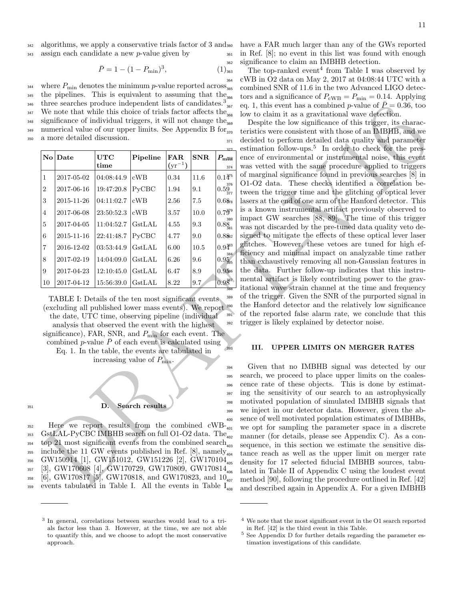342 algorithms, we apply a conservative trials factor of 3 and 360 <sup>343</sup> assign each candidate a new p-value given by

$$
\bar{P} = 1 - (1 - P_{\min})^3, \tag{1}_{363}
$$

 $_{344}$  where  $P_{\text{min}}$  denotes the minimum p-value reported across<sub>365</sub>  $_{345}$  the pipelines. This is equivalent to assuming that the  $_{366}$ three searches produce independent lists of candidates.<sup>3</sup><sub>367</sub> 346  $347$  We note that while this choice of trials factor affects the  $_{368}$ 348 significance of individual triggers, it will not change the  $_{349}$  numerical value of our upper limits. See Appendix B for  $_{370}$ <sup>350</sup> a more detailed discussion.

|                | No Date    | UTC        | Pipeline      | <b>FAR</b>     | SNR. | $P_{\rm m33}$         |
|----------------|------------|------------|---------------|----------------|------|-----------------------|
|                |            | time       |               | $\rm (yr^{-1}$ |      | 374                   |
| 1              | 2017-05-02 | 04:08:44.9 | cWB           | 0.34           | 11.6 | $0.14^{75}$           |
| $\overline{2}$ | 2017-06-16 | 19:47:20.8 | PyCBC         | 1.94           | 9.1  | 376<br>$0.59_{377}$   |
| 3              | 2015-11-26 | 04:11:02.7 | cWB           | 2.56           | 7.5  | 0.6888                |
| 4              | 2017-06-08 | 23:50:52.3 | cWB           | 3.57           | 10.0 | $0.79^{9}$            |
| 5              | 2017-04-05 | 11:04:52.7 | <b>GstLAL</b> | 4.55           | 9.3  | 380<br>$0.8 \S_{381}$ |
| 6              | 2015-11-16 | 22:41:48.7 | PyCBC         | 4.77           | 9.0  | 0.882                 |
| $\overline{7}$ | 2016-12-02 | 03:53:44.9 | <b>GstLAL</b> | 6.00           | 10.5 | $0.94^{33}$           |
| 8              | 2017-02-19 | 14:04:09.0 | <b>GstLAL</b> | 6.26           | 9.6  | 384<br>$0.95_{385}$   |
| 9              | 2017-04-23 | 12:10:45.0 | GstLAL        | 6.47           | 8.9  | 0.9586                |
| 10             | 2017-04-12 | 15:56:39.0 | GstLAL        | 8.22           | 9.7  | $0.98^{387}$          |

TABLE I: Details of the ten most significant events (excluding all published lower mass events). We report the date, UTC time, observing pipeline (individual analysis that observed the event with the highest significance), FAR, SNR, and  $P_{\min}$  for each event. The combined p-value  $\bar{P}$  of each event is calculated using Eq. 1. In the table, the events are tabulated in increasing value of  $P_{\text{min}}$ .

#### <sup>351</sup> D. Search results

<sup>352</sup> Here we report results from the combined cWB-353 GstLAL-PyCBC IMBHB search on full O1-O2 data. The<sub>402</sub>  $_{354}$  top 21 most significant events from the combined search<sub>403</sub>  $_{355}$  include the 11 GW events published in Ref. [8], namely<sub>and</sub> <sup>356</sup> GW150914 [1], GW151012, GW151226 [2], GW170104 357 [3], GW170608 [4], GW170729, GW170809, GW170814<sub>406</sub> 358 [6], GW170817 [5], GW170818, and GW170823, and  $10_{_{407}}$ <sup>359</sup> events tabulated in Table I. All the events in Table  $I_{408}$ 

have a FAR much larger than any of the GWs reported <sup>361</sup> in Ref. [8]; no event in this list was found with enough significance to claim an IMBHB detection.

 $\overline{\text{The top-ranked event}}^4$  from Table I was observed by <sup>364</sup> cWB in O2 data on May 2, 2017 at 04:08:44 UTC with a combined SNR of 11.6 in the two Advanced LIGO detectors and a significance of  $P_{\text{cWB}} = P_{\text{min}} = 0.14$ . Applying eq. 1, this event has a combined p-value of  $P = 0.36$ , too low to claim it as a gravitational wave detection.

Eric scarces procedures are constant in equations. The results are nothing by shown in the simple of our properties of the main of the simple of the simple of the simple of the simple of the simple of the simple of the si Despite the low significance of this trigger, its characteristics were consistent with those of an IMBHB, and we <sup>371</sup> decided to perform detailed data quality and parameter  $\frac{372}{2}$  estimation follow-ups.<sup>5</sup> In order to check for the pres-<sup>373</sup> ence of environmental or instrumental noise, this event was vetted with the same procedure applied to triggers of marginal significance found in previous searches [8] in <sup>376</sup> O1-O2 data. These checks identified a correlation between the trigger time and the glitching of optical lever lasers at the end of one arm of the Hanford detector. This is a known instrumental artifact previously observed to impact GW searches [88, 89]. The time of this trigger was not discarded by the pre-tuned data quality veto designed to mitigate the effects of these optical lever laser glitches. However, these vetoes are tuned for high efficiency and minimal impact on analyzable time rather than exhaustively removing all non-Gaussian features in the data. Further follow-up indicates that this instrumental artifact is likely contributing power to the grav- $\frac{388}{100}$  itational wave strain channel at the time and frequency <sup>389</sup> of the trigger. Given the SNR of the purported signal in <sup>390</sup> the Hanford detector and the relatively low significance <sup>391</sup> of the reported false alarm rate, we conclude that this <sup>392</sup> trigger is likely explained by detector noise.

### 393 III. UPPER LIMITS ON MERGER RATES

<sup>394</sup> Given that no IMBHB signal was detected by our <sup>395</sup> search, we proceed to place upper limits on the coales-<sup>396</sup> cence rate of these objects. This is done by estimat-<sup>397</sup> ing the sensitivity of our search to an astrophysically <sup>398</sup> motivated population of simulated IMBHB signals that <sup>399</sup> we inject in our detector data. However, given the ab-<sup>400</sup> sence of well motivated population estimates of IMBHBs, we opt for sampling the parameter space in a discrete manner (for details, please see Appendix C). As a consequence, in this section we estimate the sensitive distance reach as well as the upper limit on merger rate density for 17 selected fiducial IMBHB sources, tabulated in Table II of Appendix C using the loudest event method  $[90]$ , following the procedure outlined in Ref.  $[42]$ and described again in Appendix A. For a given IMBHB

<sup>3</sup> In general, correlations between searches would lead to a trials factor less than 3. However, at the time, we are not able to quantify this, and we choose to adopt the most conservative approach.

<sup>4</sup> We note that the most significant event in the O1 search reported in Ref. [42] is the third event in this Table.

 $^5$  See Appendix D for further details regarding the parameter estimation investigations of this candidate.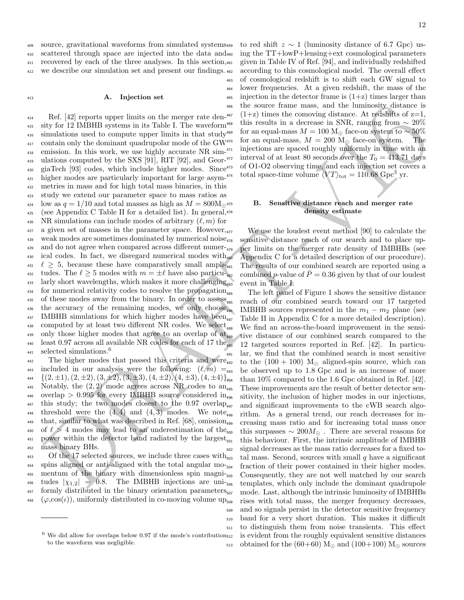source, gravitational waveforms from simulated systems scattered through space are injected into the data and recovered by each of the three analyses. In this section, 412 we describe our simulation set and present our findings.  $462$ 

#### <sup>413</sup> A. Injection set

Red. [42] reports upper limits on the neupre rate departs from a mail the luminosity and the control in the action is to the control in the control in the control in the control in the control in the control in the contro 414 Ref. [42] reports upper limits on the merger rate den-467 <sup>415</sup> sity for 12 IMBHB systems in its Table I. The waveform 416 simulations used to compute upper limits in that study<sup>469</sup> 417 contain only the dominant quadrupolar mode of the GW<sup>470</sup> <sup>418</sup> emission. In this work, we use highly accurate NR sim-<sup>419</sup> ulations computed by the SXS [91], RIT [92], and Geor-420 giaTech [93] codes, which include higher modes. Since<sup>473</sup> 421 higher modes are particularly important for large asym- $474$ <sup>422</sup> metries in mass and for high total mass binaries, in this <sup>423</sup> study we extend our parameter space to mass ratios as  $_{424}$  low as  $q = 1/10$  and total masses as high as  $M = 800M_{\odot}$ <sup>425</sup> (see Appendix C Table II for a detailed list). In general, 426 NR simulations can include modes of arbitrary  $(\ell, m)$  for  $427$  a given set of masses in the parameter space. However,  $477$ <sup>428</sup> weak modes are sometimes dominated by numerical noise<sub>478</sub>  $_{429}$  and do not agree when compared across different numer- $_{479}$ 430 ical codes. In fact, we disregard numerical modes with  $_{480}$ <sup>431</sup>  $\ell \geq 5$ , because these have comparatively small ampli-<sub>481</sub> tudes. The  $\ell > 5$  modes with  $m = \pm \ell$  have also particutudes. The  $\ell \geq 5$  modes with  $m = \pm \ell$  have also particu-433 larly short wavelengths, which makes it more challenging<sub>483</sub> <sup>434</sup> for numerical relativity codes to resolve the propagation<sub>asa</sub> 435 of these modes away from the binary. In order to  $assess_{\text{ass}}$ 436 the accuracy of the remaining modes, we only choose<sub>486</sub>  $437$  IMBHB simulations for which higher modes have been 438 computed by at least two different NR codes. We select<sub>488</sub> 439 only those higher modes that agree to an overlap of  $at_{489}$  $_{440}$  least 0.97 across all available NR codes for each of 17 the $_{490}$ selected simulations.<sup>6</sup> 441

 $442$  The higher modes that passed this criteria and were 443 included in our analysis were the following:  $(\ell, m) =_{493}$ 444  $\{(2, \pm 1), (2, \pm 2), (3, \pm 2), (3, \pm 3), (4, \pm 2), (4, \pm 3), (4, \pm 4)\}_{q_{44}}$ <br>Notably, the (2, 2) mode agrees across NR codes to an Notably, the  $(2, 2)$  mode agrees across NR codes to an<sub>495</sub> 446 overlap > 0.995 for every IMBHB source considered in  $447$  this study; the two modes closest to the 0.97 overlap<sub>497</sub> 448 threshold were the  $(4, 4)$  and  $(4, 3)$  modes. We note<sub>498</sub>  $_{449}$  that, similar to what was described in Ref. [68], omission<sub>499</sub> 450 of  $\ell > 4$  modes may lead to an underestimation of the<sub>500</sub>  $_{451}$  power within the detector band radiated by the largest<sub>501</sub> <sup>452</sup> mass binary BHs.

 $453$  Of the 17 selected sources, we include three cases with  $_{503}$ 454 spins aligned or anti-aligned with the total angular mo-<sub>504</sub> 455 mentum of the binary with dimensionless spin magni-<sub>505</sub> 456 tudes  $|\chi_{1,2}| = 0.8$ . The IMBHB injections are uni-<sub>506</sub>  $457$  formly distributed in the binary orientation parameters<sub>507</sub> 458  $(\varphi, \cos(\iota))$ , uniformly distributed in co-moving volume up<sub>508</sub>

to red shift  $z \sim 1$  (luminosity distance of 6.7 Gpc) us-<sup>460</sup> ing the TT+lowP+lensing+ext cosmological parameters given in Table IV of Ref.  $[94]$ , and individually redshifted according to this cosmological model. The overall effect <sup>463</sup> of cosmological redshift is to shift each GW signal to <sup>464</sup> lower frequencies. At a given redshift, the mass of the  $465$  injection in the detector frame is  $(1+z)$  times larger than <sup>466</sup> the source frame mass, and the luminosity distance is  $(1+z)$  times the comoving distance. At redshifts of z=1, this results in a decrease in SNR, ranging from  $\sim 20\%$ for an equal-mass  $M = 100 \text{ M}_{\odot}$  face-on system to ~ 50% for an equal-mass,  $M = 200 \text{ M}_{\odot}$  face-on system. The for an equal-mass,  $M = 200$  M<sub> $\odot$ </sub> face-on system. injections are spaced roughly uniformly in time with an interval of at least 80 seconds over the  $T_0 = 413.71$  days of O1-O2 observing time, and each injection set covers a <sup>474</sup> total space-time volume  $\langle VT \rangle_{\text{tot}} = 110.68 \text{ Gpc}^3 \text{ yr}.$ 

# B. Sensitive distance reach and merger rate density estimate

We use the loudest event method [90] to calculate the sensitive distance reach of our search and to place up-<sup>479</sup> per limits on the merger rate density of IMBHBs (see Appendix C for a detailed description of our procedure). The results of our combined search are reported using a combined p-value of  $\bar{P} = 0.36$  given by that of our loudest event in Table I.

The left panel of Figure 1 shows the sensitive distance reach of our combined search toward our 17 targeted IMBHB sources represented in the  $m_1 - m_2$  plane (see Table II in Appendix C for a more detailed description). We find an across-the-board improvement in the sensitive distance of our combined search compared to the 12 targeted sources reported in Ref. [42]. In particu-<sup>491</sup> lar, we find that the combined search is most sensitive to the  $(100 + 100)$  M<sub> $\odot$ </sub> aligned-spin source, which can be observed up to 1.8 Gpc and is an increase of more than 10% compared to the 1.6 Gpc obtained in Ref.  $[42]$ . These improvements are the result of better detector sensitivity, the inclusion of higher modes in our injections, and significant improvements to the cWB search algorithm. As a general trend, our reach decreases for increasing mass ratio and for increasing total mass once this surpasses  $\sim 200 M_{\odot}$ . There are several reasons for this behaviour. First, the intrinsic amplitude of IMBHB <sup>502</sup> signal decreases as the mass ratio decreases for a fixed total mass. Second, sources with small  $q$  have a significant fraction of their power contained in their higher modes. <sup>505</sup> Consequently, they are not well matched by our search templates, which only include the dominant quadrupole mode. Last, although the intrinsic luminosity of IMBHBs rises with total mass, the merger frequency decreases, <sup>509</sup> and so signals persist in the detector sensitive frequency <sup>510</sup> band for a very short duration. This makes it difficult <sup>511</sup> to distinguish them from noise transients. This effect is evident from the roughly equivalent sensitive distances 513 obtained for the (60+60)  $M_{\odot}$  and (100+100)  $M_{\odot}$  sources

 $^6$  We did allow for overlaps below 0.97 if the mode's contribution  $_{512}$ to the waveform was negligible.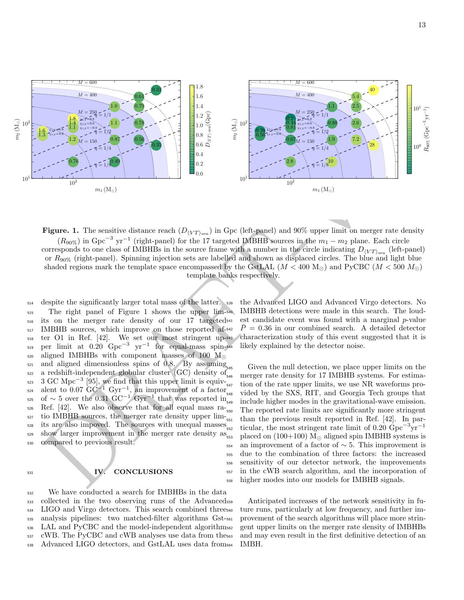

Figure. 1. The sensitive distance reach  $(D_{\langle VT \rangle_{\rm sen}})$  in Gpc (left-panel) and 90% upper limit on merger rate density

 $(R_{90\%})$  in Gpc<sup>-3</sup> yr<sup>-1</sup> (right-panel) for the 17 targeted IMBHB sources in the  $m_1 - m_2$  plane. Each circle corresponds to one class of IMBHBs in the source frame with a number in the circle indicating  $D_{\langle VT \rangle_{\rm sen}}$  (left-panel) or  $R_{90\%}$  (right-panel). Spinning injection sets are labelled and shown as displaced circles. The blue and light blue shaded regions mark the template space encompassed by the GstLAL ( $M < 400$  M<sub>o</sub>) and PyCBC ( $M < 500$  M<sub>o</sub>) template banks respectively.

<sup>514</sup> despite the significantly larger total mass of the latter. <sup>515</sup> The right panel of Figure 1 shows the upper lim-<sup>516</sup> its on the merger rate density of our 17 targeted <sup>517</sup> IMBHB sources, which improve on those reported af-<sup>518</sup> ter O1 in Ref. [42]. We set our most stringent up- $_{519}$  per limit at  $0.20 \text{ Gpc}^{-3} \text{ yr}^{-1}$  for equal-mass spin- $_{520}$  aligned IMBHBs with component masses of 100 M<sub> $\odot$ </sub>  $_{521}$  and aligned dimensionless spins of 0.8. By assuming  $522$  a redshift-independent globular cluster (GC) density of  $_{546}$  $3 \text{ GC Mpc}^{-3}$  [95], we find that this upper limit is equiv- $_{524}$  alent to 0.07 GC<sup>-1</sup> Gyr<sup>-1</sup>, an improvement of a factor  $\sigma$ <sub>525</sub> of ~ 5 over the 0.31 GC<sup>-1</sup> Gyr<sup>-1</sup> that was reported in  $526$  Ref. [42]. We also observe that for all equal mass ra- $_{550}^{349}$  $527$  tio IMBHB sources, the merger rate density upper  $\lim_{\epsilon_{551}}$ <sub>528</sub> its are also impoved. The sources with unequal masses<sub>552</sub> <sup>529</sup> show larger improvement in the merger rate density as <sup>530</sup> compared to previous result.

## 531 IV. CONCLUSIONS

 We have conducted a search for IMBHBs in the data collected in the two observing runs of the Advanced LIGO and Virgo detectors. This search combined three analysis pipelines: two matched-filter algorithms Gst- LAL and PyCBC and the model-independent algorithm cWB. The PyCBC and cWB analyses use data from the Advanced LIGO detectors, and GstLAL uses data from the Advanced LIGO and Advanced Virgo detectors. No IMBHB detections were made in this search. The loudest candidate event was found with a marginal  $p$ -value  $\overline{P} = 0.36$  in our combined search. A detailed detector <sup>543</sup> characterization study of this event suggested that it is likely explained by the detector noise.

Given the null detection, we place upper limits on the merger rate density for 17 IMBHB systems. For estimation of the rate upper limits, we use NR waveforms provided by the SXS, RIT, and Georgia Tech groups that include higher modes in the gravitational-wave emission. The reported rate limits are significantly more stringent than the previous result reported in Ref. [42]. In particular, the most stringent rate limit of 0.20  $Gpc^{-3}yr^{-1}$ placed on (100+100)  $M_{\odot}$  aligned spin IMBHB systems is <sup>554</sup> an improvement of a factor of ∼ 5. This improvement is <sup>555</sup> due to the combination of three factors: the increased <sup>556</sup> sensitivity of our detector network, the improvements <sup>557</sup> in the cWB search algorithm, and the incorporation of <sup>558</sup> higher modes into our models for IMBHB signals.

<sup>559</sup> Anticipated increases of the network sensitivity in future runs, particularly at low frequency, and further improvement of the search algorithms will place more strin-<sup>562</sup> gent upper limits on the merger rate density of IMBHBs and may even result in the first definitive detection of an IMBH.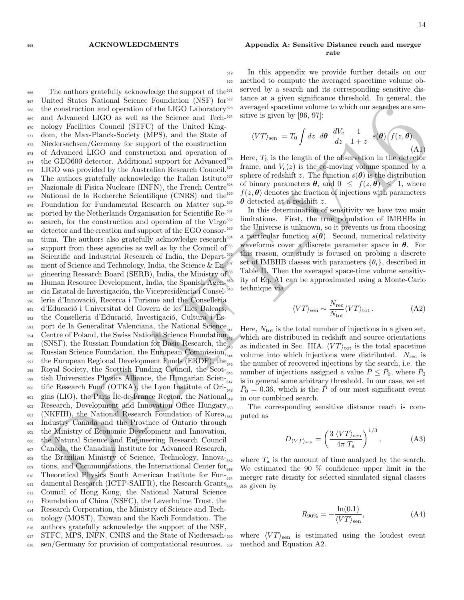by the intertion and memberian of the UKO Laboratory are respectively as the constraints of the control of the UKO Laboratory intertion is the intertion of the UKO Laboratory Properties. Control is the intertion of the in <sup>566</sup> The authors gratefully acknowledge the support of the<sup>621</sup> <sup>567</sup> United States National Science Foundation (NSF) for <sup>568</sup> the construction and operation of the LIGO Laboratory <sup>569</sup> and Advanced LIGO as well as the Science and Tech-<sup>570</sup> nology Facilities Council (STFC) of the United King-<sup>571</sup> dom, the Max-Planck-Society (MPS), and the State of <sup>572</sup> Niedersachsen/Germany for support of the construction <sup>573</sup> of Advanced LIGO and construction and operation of  $\,$  the GEO600 detector. Additional support for Advanced  $\,$ <sup>575</sup> LIGO was provided by the Australian Research Council. 576 The authors gratefully acknowledge the Italian Istituto<sup>627</sup> <sup>577</sup> Nazionale di Fisica Nucleare (INFN), the French Centre <sup>578</sup> National de la Recherche Scientifique (CNRS) and the <sup>579</sup> Foundation for Fundamental Research on Matter sup-<sup>580</sup> ported by the Netherlands Organisation for Scientific Re-581 search, for the construction and operation of the Virgo<sup>632</sup> 582 detector and the creation and support of the EGO consor-633 583 tium. The authors also gratefully acknowledge research<sup>634</sup> 584 support from these agencies as well as by the Council of<sup>635</sup> 585 Scientific and Industrial Research of India, the Depart-<sup>636</sup> 586 ment of Science and Technology, India, the Science & En-637 587 gineering Research Board (SERB), India, the Ministry of<sup>638</sup> <sup>588</sup> Human Resource Development, India, the Spanish Agen-589 cia Estatal de Investigación, the Vicepresidència i Consel-640 590 leria d'Innovació, Recerca i Turisme and the Conselleria 591 d'Educació i Universitat del Govern de les Illes Balears, <sup>592</sup> the Conselleria d'Educació, Investigació, Cultura i Es-<sup>593</sup> port de la Generalitat Valenciana, the National Science  $_{594}$  Centre of Poland, the Swiss National Science Foundation 595 (SNSF), the Russian Foundation for Basic Research, the  $_{643}$ 596 Russian Science Foundation, the European Commission, 644  $_{597}$  the European Regional Development Funds (ERDF), the  $_{645}$ <sup>598</sup> Royal Society, the Scottish Funding Council, the Scot- $_{599}$  tish Universities Physics Alliance, the Hungarian Scien- $_{647}$  $\frac{600}{1000}$  tific Research Fund (OTKA), the Lyon Institute of Ori- $_{601}$  gins (LIO), the Paris Île-de-France Region, the National<sub>649</sub>  $602$  Research, Development and Innovation Office Hungary<sub> $650$ </sub> <sup>603</sup> (NKFIH), the National Research Foundation of Korea, <sup>604</sup> Industry Canada and the Province of Ontario through <sup>605</sup> the Ministry of Economic Development and Innovation, <sup>606</sup> the Natural Science and Engineering Research Council <sup>607</sup> Canada, the Canadian Institute for Advanced Research, <sup>608</sup> the Brazilian Ministry of Science, Technology, Innova- $\frac{609}{100}$  tions, and Communications, the International Center for  $610$  Theoretical Physics South American Institute for Fun- $_{654}$  $_{611}$ damental Research (ICTP-SAIFR), the Research  $\operatorname{Grants}_{_{655}}$ <sup>612</sup> Council of Hong Kong, the National Natural Science <sup>613</sup> Foundation of China (NSFC), the Leverhulme Trust, the <sup>614</sup> Research Corporation, the Ministry of Science and Tech-<sup>615</sup> nology (MOST), Taiwan and the Kavli Foundation. The <sup>616</sup> authors gratefully acknowledge the support of the NSF, <sup>617</sup> STFC, MPS, INFN, CNRS and the State of Niedersach-656 <sup>618</sup> sen/Germany for provision of computational resources.

#### Appendix A: Sensitive Distance reach and merger rate

<sup>619</sup> In this appendix we provide further details on our <sup>620</sup> method to compute the averaged spacetime volume observed by a search and its corresponding sensitive distance at a given significance threshold. In general, the averaged spacetime volume to which our searches are sensitive is given by  $[96, 97]$ :

$$
\langle VT \rangle_{\text{sen}} = T_0 \int dz \, d\theta \, \frac{dV_c}{dz} \, \frac{1}{1+z} \, s(\theta) \left( f(z,\theta). \right) \tag{A1}
$$

Here,  $T_0$  is the length of the observation in the detector frame, and  $V_c(z)$  is the co-moving volume spanned by a sphere of redshift z. The function  $s(\theta)$  is the distribution of binary parameters  $\theta$ , and  $0 \leq f(z, \theta) \leq 1$ , where  $f(z, \theta)$  denotes the fraction of injections with parameters  $\theta$  detected at a redshift z.

In this determination of sensitivity we have two main limitations. First, the true population of IMBHBs in the Universe is unknown, so it prevents us from choosing a particular function  $s(\theta)$ . Second, numerical relativity waveforms cover a discrete parameter space in  $\theta$ . For this reason, our study is focused on probing a discrete set of IMBHB classes with parameters  $\{\theta_i\}$ , described in Table II. Then the averaged space-time volume sensitivity of Eq. A1 can be approximated using a Monte-Carlo technique via

$$
\langle VT \rangle_{\rm sen} \sim \frac{N_{\rm rec}}{N_{\rm tot}} \langle VT \rangle_{\rm tot} \,. \tag{A2}
$$

Here,  $N_{\text{tot}}$  is the total number of injections in a given set, which are distributed in redshift and source orientations as indicated in Sec. IIIA.  $\langle VT \rangle_{\text{tot}}$  is the total spacetime volume into which injections were distributed.  $N_{\text{rec}}$  is the number of recovered injections by the search, i.e. the <sup>646</sup> number of injections assigned a value  $\bar{P} \leq \bar{P}_0$ , where  $\bar{P}_0$ is in general some arbitrary threshold. In our case, we set <sup>648</sup>  $\bar{P}_0 = 0.36$ , which is the  $\bar{P}$  of our most significant event in our combined search.

The corresponding sensitive distance reach is computed as

$$
D_{\langle VT \rangle_{\rm sen}} = \left(\frac{3 \langle VT \rangle_{\rm sen}}{4\pi T_{\rm a}}\right)^{1/3},\tag{A3}
$$

where  $T_a$  is the amount of time analyzed by the search. We estimated the 90  $\%$  confidence upper limit in the merger rate density for selected simulated signal classes as given by

$$
R_{90\%} = -\frac{\ln(0.1)}{\langle VT \rangle_{\rm sen}},\tag{A4}
$$

where  $\langle VT \rangle_{\text{sen}}$  is estimated using the loudest event method and Equation A2.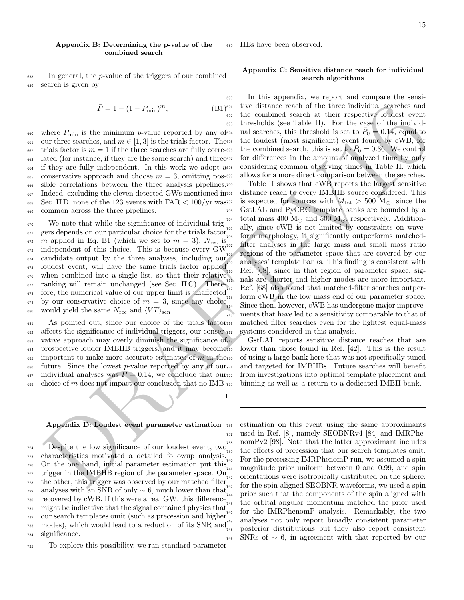#### Appendix B: Determining the p-value of the combined search

<sup>658</sup> In general, the p-value of the triggers of our combined <sup>659</sup> search is given by

$$
\bar{P} = 1 - (1 - P_{\min})^m, \tag{B1}_{\text{00}}^{\text{00}}
$$

 $\frac{660}{1000}$  where  $P_{\text{min}}$  is the minimum p-value reported by any of  $\frac{694}{1000}$ 661 our three searches, and  $m \in [1,3]$  is the trials factor. The  $\epsilon_{662}$  trials factor is  $m = 1$  if the three searches are fully corre- $\epsilon_{666}$ <sup>663</sup> lated (for instance, if they are the same search) and three <sup>664</sup> if they are fully independent. In this work we adopt a 665 conservative approach and choose  $m = 3$ , omitting pos-699 <sup>666</sup> sible correlations between the three analysis pipelines. <sup>667</sup> Indeed, excluding the eleven detected GWs mentioned in 668 Sec. II D, none of the 123 events with  $FAR < 100/yr$  was  $\frac{3}{100}$ <sup>669</sup> common across the three pipelines.

 $\frac{670}{100}$  We note that while the significance of individual trig- $\frac{704}{705}$  $671$  gers depends on our particular choice for the trials factor  $\frac{100}{706}$  $\sigma$ <sub>672</sub> m applied in Eq. B1 (which we set to  $m = 3$ ),  $N_{\text{rec}}$  is  $\frac{673}{673}$  independent of this choice. This is because every GW<sup>707</sup>  $674$  candidate output by the three analyses, including our <sup>675</sup> loudest event, will have the same trials factor applied  $\frac{676}{110}$  when combined into a single list, so that their relative  $\frac{67}{110}$ <sup>677</sup> ranking will remain unchanged (see Sec. II C). There-<sup>678</sup> fore, the numerical value of our upper limit is unaffected <sup>679</sup> by our conservative choice of  $m = 3$ , since any choice  $\frac{13}{714}$ 680 would yield the same  $N_{\text{rec}}$  and  $\langle VT \rangle_{\text{sen}}$ .

 As pointed out, since our choice of the trials factor affects the significance of individual triggers, our conser- vative approach may overly diminish the significance of prospective louder IMBHB triggers, and it may become important to make more accurate estimates of m in the r20 future. Since the lowest p-value reported by any of our $721$ 687 individual analyses was  $P = 0.14$ , we conclude that our  $z_2$ 688 choice of m does not impact our conclusion that no IMB-723

# Appendix C: Sensitive distance reach for individual

<sup>689</sup> HBs have been observed.

<sup>690</sup> In this appendix, we report and compare the sensi-<sup>91</sup> tive distance reach of the three individual searches and <sup>22</sup> the combined search at their respective loudest event <sup>693</sup> thresholds (see Table II). For the case of the individual searches, this threshold is set to  $\bar{P}_0 = 0.14$ , equal to the loudest (most significant) event found by cWB; for the combined search, this is set to  $P_0 = 0.36$ . We control for differences in the amount of analyzed time by only considering common observing times in Table II, which allows for a more direct comparison between the searches.

search algorithms

 $P_{\text{max}} = 1 - (1 - P_{\text{max}})^m$ , (11) as the distance seated for the discussion and the constrained and<br>not the constraine and the constrained by any constrained by the constrained and the discussion and the<br>property of the met Table II shows that cWB reports the largest sensitive distance reach to every IMBHB source considered. This is expected for sources with  $M_{\text{tot}} > 500$  M<sub> $\odot$ </sub>, since the GstLAL and PyCBC template banks are bounded by a total mass 400  $M_{\odot}$  and 500  $M_{\odot}$ , respectively. Additionally, since cWB is not limited by constraints on waveform morphology, it significantly outperforms matchedfilter analyses in the large mass and small mass ratio regions of the parameter space that are covered by our analyses' template banks. This finding is consistent with Ref. [68], since in that region of parameter space, signals are shorter and higher modes are more important. Ref. [68] also found that matched-filter searches outper-<sup>713</sup> form cWB in the low mass end of our parameter space. Since then, however, cWB has undergone major improve-<sup>715</sup> ments that have led to a sensitivity comparable to that of matched filter searches even for the lightest equal-mass systems considered in this analysis.

GstLAL reports sensitive distance reaches that are lower than those found in Ref. [42]. This is the result of using a large bank here that was not specifically tuned and targeted for IMBHBs. Future searches will benefit from investigations into optimal template placement and binning as well as a return to a dedicated IMBH bank.

#### Appendix D: Loudest event parameter estimation

 Despite the low significance of our loudest event, two  $738$  $\frac{1}{725}$  characteristics motivated a detailed followup analysis. On the one hand, initial parameter estimation put this  $741$  trigger in the IMBHB region of the parameter space. On  $_{742}$  $\frac{1}{728}$  the other, this trigger was observed by our matched filter  $\frac{1}{743}$ <sup>729</sup> analyses with an SNR of only  $\sim 6$ , much lower than that<sup>"3</sup><br><sup>730</sup> recovered by cWB. If this were a real GW, this difference<sup>744</sup> recovered by cWB. If this were a real GW, this difference might be indicative that the signal contained physics that  $\frac{736}{746}$  our search templates omit (such as precession and higher modes), which would lead to a reduction of its SNR and significance.

<sup>735</sup> To explore this possibility, we ran standard parameter

estimation on this event using the same approximants <sup>737</sup> used in Ref. [8], namely SEOBNRv4 [84] and IMRPhe- $100 \text{ mPv2}$  [98]. Note that the latter approximant includes the effects of precession that our search templates omit. For the precessing IMRPhenomP run, we assumed a spin magnitude prior uniform between 0 and 0.99, and spin orientations were isotropically distributed on the sphere; for the spin-aligned SEOBNR waveforms, we used a spin prior such that the components of the spin aligned with <sup>745</sup> the orbital angular momentum matched the prior used for the IMRPhenomP analysis. Remarkably, the two analyses not only report broadly consistent parameter posterior distributions but they also report consistent  $749$  SNRs of  $\sim 6$ , in agreement with that reported by our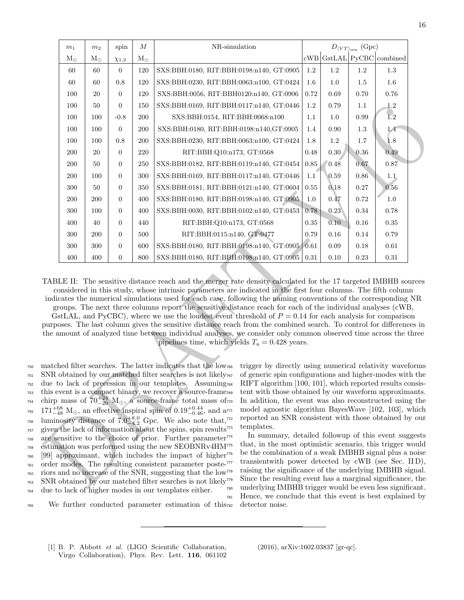|                                                                                                                                                                                                                                                                                                                                                                                                                                                                                                                                                                                                                                                                                                                                                                                                                                                                                                                                                                                                                                                                                                                                                                                                                                                                                                                                                                                                                                                                                                                                                                                                                                                                                                                                                                                                                                                                                                                                                                                                        | m <sub>1</sub>  | m <sub>2</sub>  | spin             | $\boldsymbol{M}$ | NR-simulation                            | $D_{\langle VT \rangle_{\rm sen}}$ (Gpc) |          |          |                             |  |
|--------------------------------------------------------------------------------------------------------------------------------------------------------------------------------------------------------------------------------------------------------------------------------------------------------------------------------------------------------------------------------------------------------------------------------------------------------------------------------------------------------------------------------------------------------------------------------------------------------------------------------------------------------------------------------------------------------------------------------------------------------------------------------------------------------------------------------------------------------------------------------------------------------------------------------------------------------------------------------------------------------------------------------------------------------------------------------------------------------------------------------------------------------------------------------------------------------------------------------------------------------------------------------------------------------------------------------------------------------------------------------------------------------------------------------------------------------------------------------------------------------------------------------------------------------------------------------------------------------------------------------------------------------------------------------------------------------------------------------------------------------------------------------------------------------------------------------------------------------------------------------------------------------------------------------------------------------------------------------------------------------|-----------------|-----------------|------------------|------------------|------------------------------------------|------------------------------------------|----------|----------|-----------------------------|--|
|                                                                                                                                                                                                                                                                                                                                                                                                                                                                                                                                                                                                                                                                                                                                                                                                                                                                                                                                                                                                                                                                                                                                                                                                                                                                                                                                                                                                                                                                                                                                                                                                                                                                                                                                                                                                                                                                                                                                                                                                        | $\rm M_{\odot}$ | $\rm M_{\odot}$ | $\chi_{1,2}$     | $M_{\odot}$      |                                          |                                          |          |          | $cWB$ GstLAL PyCBC combined |  |
|                                                                                                                                                                                                                                                                                                                                                                                                                                                                                                                                                                                                                                                                                                                                                                                                                                                                                                                                                                                                                                                                                                                                                                                                                                                                                                                                                                                                                                                                                                                                                                                                                                                                                                                                                                                                                                                                                                                                                                                                        | 60              | 60              | $\overline{0}$   | 120              | SXS:BBH:0180, RIT:BBH:0198:n140, GT:0905 | 1.2                                      | 1.2      | 1.2      | $1.3\,$                     |  |
|                                                                                                                                                                                                                                                                                                                                                                                                                                                                                                                                                                                                                                                                                                                                                                                                                                                                                                                                                                                                                                                                                                                                                                                                                                                                                                                                                                                                                                                                                                                                                                                                                                                                                                                                                                                                                                                                                                                                                                                                        | 60              | 60              | 0.8              | 120              | SXS:BBH:0230, RIT:BBH:0063:n100, GT:0424 | 1.6                                      | 1.0      | 1.5      | 1.6                         |  |
|                                                                                                                                                                                                                                                                                                                                                                                                                                                                                                                                                                                                                                                                                                                                                                                                                                                                                                                                                                                                                                                                                                                                                                                                                                                                                                                                                                                                                                                                                                                                                                                                                                                                                                                                                                                                                                                                                                                                                                                                        | 100             | 20              | $\overline{0}$   | 120              | SXS:BBH:0056, RIT:BBH0120:n140, GT:0906  | 0.72                                     | 0.69     | 0.70     | 0.76                        |  |
|                                                                                                                                                                                                                                                                                                                                                                                                                                                                                                                                                                                                                                                                                                                                                                                                                                                                                                                                                                                                                                                                                                                                                                                                                                                                                                                                                                                                                                                                                                                                                                                                                                                                                                                                                                                                                                                                                                                                                                                                        | 100             | 50              | $\overline{0}$   | 150              | SXS:BBH:0169, RIT:BBH:0117:n140, GT:0446 | 1.2                                      | 0.79     | 1.1      | $1.2\,$                     |  |
|                                                                                                                                                                                                                                                                                                                                                                                                                                                                                                                                                                                                                                                                                                                                                                                                                                                                                                                                                                                                                                                                                                                                                                                                                                                                                                                                                                                                                                                                                                                                                                                                                                                                                                                                                                                                                                                                                                                                                                                                        | 100             | 100             | $-0.8$           | $200\,$          | SXS:BBH:0154, RIT:BBH:0068:n100          | 1.1                                      | 1.0      | $0.99\,$ | $1.2\,$                     |  |
|                                                                                                                                                                                                                                                                                                                                                                                                                                                                                                                                                                                                                                                                                                                                                                                                                                                                                                                                                                                                                                                                                                                                                                                                                                                                                                                                                                                                                                                                                                                                                                                                                                                                                                                                                                                                                                                                                                                                                                                                        | 100             | 100             | $\mathbf{0}$     | 200              | SXS:BBH:0180, RIT:BBH:0198:n140,GT:0905  | 1.4                                      | 0.90     | $1.3\,$  | 1.4                         |  |
|                                                                                                                                                                                                                                                                                                                                                                                                                                                                                                                                                                                                                                                                                                                                                                                                                                                                                                                                                                                                                                                                                                                                                                                                                                                                                                                                                                                                                                                                                                                                                                                                                                                                                                                                                                                                                                                                                                                                                                                                        | 100             | 100             | 0.8              | 200              | SXS:BBH:0230, RIT:BBH:0063:n100, GT:0424 | 1.8                                      | 1.2      | 1.7      | 1.8                         |  |
|                                                                                                                                                                                                                                                                                                                                                                                                                                                                                                                                                                                                                                                                                                                                                                                                                                                                                                                                                                                                                                                                                                                                                                                                                                                                                                                                                                                                                                                                                                                                                                                                                                                                                                                                                                                                                                                                                                                                                                                                        | 200             | 20              | $\overline{0}$   | 220              | RIT:BBH:Q10:n173, GT:0568                | 0.48                                     | 0.30     | $0.36\,$ | 0.49                        |  |
|                                                                                                                                                                                                                                                                                                                                                                                                                                                                                                                                                                                                                                                                                                                                                                                                                                                                                                                                                                                                                                                                                                                                                                                                                                                                                                                                                                                                                                                                                                                                                                                                                                                                                                                                                                                                                                                                                                                                                                                                        | 200             | 50              | $\mathbf{0}$     | 250              | SXS:BBH:0182, RIT:BBH:0119:n140, GT:0454 | $0.85\,$                                 | 0.48     | 0.67     | 0.87                        |  |
|                                                                                                                                                                                                                                                                                                                                                                                                                                                                                                                                                                                                                                                                                                                                                                                                                                                                                                                                                                                                                                                                                                                                                                                                                                                                                                                                                                                                                                                                                                                                                                                                                                                                                                                                                                                                                                                                                                                                                                                                        | 200             | 100             | $\boldsymbol{0}$ | $300\,$          | SXS:BBH:0169, RIT:BBH:0117:n140, GT:0446 | 1.1                                      | 0.59     | 0.86     | 1.1                         |  |
|                                                                                                                                                                                                                                                                                                                                                                                                                                                                                                                                                                                                                                                                                                                                                                                                                                                                                                                                                                                                                                                                                                                                                                                                                                                                                                                                                                                                                                                                                                                                                                                                                                                                                                                                                                                                                                                                                                                                                                                                        | 300             | 50              | $\boldsymbol{0}$ | 350              | SXS:BBH:0181, RIT:BBH:0121:n140, GT:0604 | 0.55                                     | 0.18     | $0.27\,$ | 0.56                        |  |
|                                                                                                                                                                                                                                                                                                                                                                                                                                                                                                                                                                                                                                                                                                                                                                                                                                                                                                                                                                                                                                                                                                                                                                                                                                                                                                                                                                                                                                                                                                                                                                                                                                                                                                                                                                                                                                                                                                                                                                                                        | 200             | 200             | $\overline{0}$   | 400              | SXS:BBH:0180, RIT:BBH:0198:n140, GT:0905 | 1.0                                      | 0.47     | $0.72\,$ | $1.0\,$                     |  |
|                                                                                                                                                                                                                                                                                                                                                                                                                                                                                                                                                                                                                                                                                                                                                                                                                                                                                                                                                                                                                                                                                                                                                                                                                                                                                                                                                                                                                                                                                                                                                                                                                                                                                                                                                                                                                                                                                                                                                                                                        | 300             | 100             | $\overline{0}$   | 400              | SXS:BBH:0030, RIT:BBH:0102:n140, GT:0453 | 0.78                                     | 0.23     | 0.34     | $0.78\,$                    |  |
|                                                                                                                                                                                                                                                                                                                                                                                                                                                                                                                                                                                                                                                                                                                                                                                                                                                                                                                                                                                                                                                                                                                                                                                                                                                                                                                                                                                                                                                                                                                                                                                                                                                                                                                                                                                                                                                                                                                                                                                                        | 400             | 40              | $\boldsymbol{0}$ | 440              | RIT:BBH:Q10:n173, GT:0568                | 0.35                                     | $0.10\,$ | $0.16\,$ | 0.35                        |  |
|                                                                                                                                                                                                                                                                                                                                                                                                                                                                                                                                                                                                                                                                                                                                                                                                                                                                                                                                                                                                                                                                                                                                                                                                                                                                                                                                                                                                                                                                                                                                                                                                                                                                                                                                                                                                                                                                                                                                                                                                        | 300             | 200             | $\overline{0}$   | 500              | RIT:BBH:0115:n140, GT:0477               | 0.79                                     | 0.16     | $0.14\,$ | $0.79\,$                    |  |
|                                                                                                                                                                                                                                                                                                                                                                                                                                                                                                                                                                                                                                                                                                                                                                                                                                                                                                                                                                                                                                                                                                                                                                                                                                                                                                                                                                                                                                                                                                                                                                                                                                                                                                                                                                                                                                                                                                                                                                                                        | 300             | 300             | $\overline{0}$   | 600              | SXS:BBH:0180, RIT:BBH:0198:n140, GT:0905 | 0.61                                     | $0.09\,$ | 0.18     | $\,0.61\,$                  |  |
|                                                                                                                                                                                                                                                                                                                                                                                                                                                                                                                                                                                                                                                                                                                                                                                                                                                                                                                                                                                                                                                                                                                                                                                                                                                                                                                                                                                                                                                                                                                                                                                                                                                                                                                                                                                                                                                                                                                                                                                                        | 400             | 400             | $\boldsymbol{0}$ | 800              | SXS:BBH:0180, RIT:BBH:0198:n140, GT:0905 | 0.31                                     | 0.10     | $0.23\,$ | $\rm 0.31$                  |  |
| TABLE II: The sensitive distance reach and the merger rate density calculated for the 17 targeted IMBHB sources<br>considered in this study, whose intrinsic parameters are indicated in the first four columns. The fifth column<br>indicates the numerical simulations used for each case, following the naming conventions of the corresponding NR<br>groups. The next three columns report the sensitive distance reach for each of the individual analyses (cWB,<br>GstLAL, and PyCBC), where we use the loudest event threshold of $P = 0.14$ for each analysis for comparison<br>purposes. The last column gives the sensitive distance reach from the combined search. To control for differences in<br>the amount of analyzed time between individual analyses, we consider only common observed time across the three<br>pipelines time, which yields $T_a = 0.428$ years.                                                                                                                                                                                                                                                                                                                                                                                                                                                                                                                                                                                                                                                                                                                                                                                                                                                                                                                                                                                                                                                                                                                   |                 |                 |                  |                  |                                          |                                          |          |          |                             |  |
|                                                                                                                                                                                                                                                                                                                                                                                                                                                                                                                                                                                                                                                                                                                                                                                                                                                                                                                                                                                                                                                                                                                                                                                                                                                                                                                                                                                                                                                                                                                                                                                                                                                                                                                                                                                                                                                                                                                                                                                                        |                 |                 |                  |                  |                                          |                                          |          |          |                             |  |
| matched filter searches. The latter indicates that the low <sub>766</sub><br>trigger by directly using numerical relativity waveforms<br>SNR obtained by our matched filter searches is not likely <sub>767</sub><br>of generic spin configurations and higher-modes with the<br>due to lack of precession in our templates. Assuming 768<br>RIFT algorithm [100, 101], which reported results consis-<br>chis event is a compact binary, we recover a source-frame <sub>769</sub><br>tent with those obtained by our waveform approximants.<br>chirp mass of $70^{+24}_{-20}$ M <sub>o</sub> , a source-frame total mass of $70^{+24}_{-20}$<br>In addition, the event was also reconstructed using the<br>$171^{+68}_{-48}$ M <sub>o</sub> , an effective inspiral spin of $0.19^{+0.44}_{-0.46}$ , and $a^{71}$<br>model agnostic algorithm BayesWave [102, 103], which<br>reported an SNR consistent with those obtained by our<br>uminosity distance of $7.0^{+8.0}_{-4.2}$ Gpc. We also note that, <sup>772</sup><br>templates.<br>given the lack of information about the spins, spin results <sup>773</sup><br>In summary, detailed followup of this event suggests<br>are sensitive to the choice of prior. Further parameter <sup>774</sup><br>that, in the most optimistic scenario, this trigger would<br>estimation was performed using the new SEOBNRv4HM <sup>775</sup><br>be the combination of a weak IMBHB signal plus a noise<br>[99] approximant, which includes the impact of higher <sup>776</sup><br>transient with power detected by cWB (see Sec. IID),<br>order modes. The resulting consistent parameter poste- <sup>777</sup><br>raising the significance of the underlying IMBHB signal.<br>ciors and no increase of the SNR, suggesting that the low <sup>778</sup><br>Since the resulting event has a marginal significance, the<br>SNR obtained by our matched filter searches is not likely <sup>779</sup><br>underlying IMBHB trigger would be even less significant |                 |                 |                  |                  |                                          |                                          |          |          |                             |  |

 matched filter searches. The latter indicates that the low SNR obtained by our matched filter searches is not likely due to lack of precession in our templates. Assuming this event is a compact binary, we recover a source-frame <sup>754</sup> chirp mass of  $70^{+24}_{-20}$  M<sub>o</sub>, a source-frame total mass of <sup>755</sup>  $171^{+68}_{-48}$  M<sub>☉</sub>, an effective inspiral spin of  $0.19^{+0.44}_{-0.46}$ , and a <sup>756</sup> luminosity distance of  $7.0^{+8.0}_{-4.2}$  Gpc. We also note that, given the lack of information about the spins, spin results<sup> $773$ </sup> are sensitive to the choice of prior. Further parameter estimation was performed using the new SEOBNRv4HM [99] approximant, which includes the impact of higher  $_{761}$  order modes. The resulting consistent parameter poste- $^{77}$  riors and no increase of the SNR, suggesting that the low<sup>778</sup> SNR obtained by our matched filter searches is not likely due to lack of higher modes in our templates either.

<sup>765</sup> We further conducted parameter estimation of this

In summary, detailed followup of this event suggests that, in the most optimistic scenario, this trigger would be the combination of a weak IMBHB signal plus a noise transientwith power detected by cWB (see Sec. II D), raising the significance of the underlying IMBHB signal. Since the resulting event has a marginal significance, the <sup>780</sup> underlying IMBHB trigger would be even less significant. <sup>781</sup> Hence, we conclude that this event is best explained by detector noise.

[1] B. P. Abbott et al. (LIGO Scientific Collaboration, Virgo Collaboration), Phys. Rev. Lett. 116, 061102 (2016), arXiv:1602.03837 [gr-qc].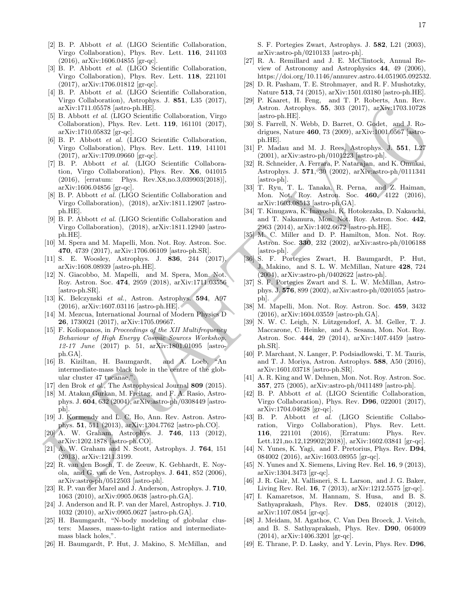- [2] B. P. Abbott et al. (LIGO Scientific Collaboration, Virgo Collaboration), Phys. Rev. Lett. 116, 241103 (2016), arXiv:1606.04855 [gr-qc].
- [3] B. P. Abbott et al. (LIGO Scientific Collaboration, Virgo Collaboration), Phys. Rev. Lett. 118, 221101 (2017), arXiv:1706.01812 [gr-qc].
- [4] B. P. Abbott et al. (LIGO Scientific Collaboration, Virgo Collaboration), Astrophys. J. 851, L35 (2017), arXiv:1711.05578 [astro-ph.HE].
- [5] B. Abbott et al. (LIGO Scientific Collaboration, Virgo Collaboration), Phys. Rev. Lett. 119, 161101 (2017), arXiv:1710.05832 [gr-qc].
- [6] B. P. Abbott et al. (LIGO Scientific Collaboration, Virgo Collaboration), Phys. Rev. Lett. 119, 141101 (2017), arXiv:1709.09660 [gr-qc].
- [7] B. P. Abbott et al. (LIGO Scientific Collaboration, Virgo Collaboration), Phys. Rev. X6, 041015 (2016), [erratum: Phys. Rev.X8,no.3,039903(2018)], arXiv:1606.04856 [gr-qc].
- [8] B. P. Abbott et al. (LIGO Scientific Collaboration and Virgo Collaboration), (2018), arXiv:1811.12907 [astroph.HE].
- [9] B. P. Abbott et al. (LIGO Scientific Collaboration and Virgo Collaboration), (2018), arXiv:1811.12940 [astroph.HE].
- [10] M. Spera and M. Mapelli, Mon. Not. Roy. Astron. Soc. 470, 4739 (2017), arXiv:1706.06109 [astro-ph.SR].
- [11] S. E. Woosley, Astrophys. J. 836, 244 (2017) arXiv:1608.08939 [astro-ph.HE].
- [12] N. Giacobbo, M. Mapelli, and M. Spera, Mon. Not. Roy. Astron. Soc. 474, 2959 (2018), arXiv:1711.03556 [astro-ph.SR].
- [13] K. Belczynski et al., Astron. Astrophys. 594, A97 (2016), arXiv:1607.03116 [astro-ph.HE].
- [14] M. Mezcua, International Journal of Modern Physics D 26, 1730021 (2017), arXiv:1705.09667.
- [15] F. Koliopanos, in Proceedings of the XII Multifrequency Behaviour of High Energy Cosmic Sources Workshop. 12-17 June (2017) p. 51, arXiv:1801.01095 [astroph.GA].
- [16] B. Kiziltan, H. Baumgardt, and A. Loeb, "An intermediate-mass black hole in the centre of the globular cluster 47 tucanae,".
- [17] den Brok et al., The Astrophysical Journal 809 (2015).
- [18] M. Atakan Gurkan, M. Freitag, and F. A. Rasio, Astrophys. J. 604, 632 (2004), arXiv:astro-ph/0308449 [astroph].
- [19] J. Kormendy and L. C. Ho, Ann. Rev. Astron. Astrophys. 51, 511 (2013), arXiv:1304.7762 [astro-ph.CO].
- [20] A. W. Graham, Astrophys. J. 746, 113 (2012), arXiv:1202.1878 [astro-ph.CO].
- [21] A. W. Graham and N. Scott, Astrophys. J. 764, 151 (2013), arXiv:1211.3199.
- [22] R. van den Bosch, T. de Zeeuw, K. Gebhardt, E. Noyola, and G. van de Ven, Astrophys. J. 641, 852 (2006), arXiv:astro-ph/0512503 [astro-ph].
- [23] R. P. van der Marel and J. Anderson, Astrophys. J. 710, 1063 (2010), arXiv:0905.0638 [astro-ph.GA].
- [24] J. Anderson and R. P. van der Marel, Astrophys. J. 710, 1032 (2010), arXiv:0905.0627 [astro-ph.GA].
- [25] H. Baumgardt, "N-body modeling of globular clusters: Masses, mass-to-light ratios and intermediatemass black holes,".
- [26] H. Baumgardt, P. Hut, J. Makino, S. McMillan, and

S. F. Portegies Zwart, Astrophys. J. 582, L21 (2003), arXiv:astro-ph/0210133 [astro-ph].

- [27] R. A. Remillard and J. E. McClintock, Annual Review of Astronomy and Astrophysics 44, 49 (2006), https://doi.org/10.1146/annurev.astro.44.051905.092532.
- [28] D. R. Pasham, T. E. Strohmayer, and R. F. Mushotzky, Nature 513, 74 (2015), arXiv:1501.03180 [astro-ph.HE].
- [29] P. Kaaret, H. Feng, and T. P. Roberts, Ann. Rev. Astron. Astrophys. 55, 303 (2017), arXiv:1703.10728 [astro-ph.HE].
- [30] S. Farrell, N. Webb, D. Barret, O. Godet, and J. Rodrigues, Nature 460, 73 (2009), arXiv:1001.0567 [astroph.HE].
- [31] P. Madau and M. J. Rees, Astrophys. J. 551, L27 (2001), arXiv:astro-ph/0101223 [astro-ph].
- [32] R. Schneider, A. Ferrara, P. Natarajan, and K. Omukai, Astrophys. J. 571, 30 (2002), arXiv:astro-ph/0111341 [astro-ph].
- [33] T. Ryu, T. L. Tanaka, R. Perna, and Z. Haiman, Mon. Not. Roy. Astron. Soc. 460, 4122 (2016), arXiv:1603.08513 [astro-ph.GA].
- [34] T. Kinugawa, K. Inayoshi, K. Hotokezaka, D. Nakauchi, and T. Nakamura, Mon. Not. Roy. Astron. Soc. 442, 2963 (2014), arXiv:1402.6672 [astro-ph.HE].
- [35] M. C. Miller and D. P. Hamilton, Mon. Not. Roy. Astron. Soc. 330, 232 (2002), arXiv:astro-ph/0106188 [astro-ph].
- [36] S. F. Portegies Zwart, H. Baumgardt, P. Hut, J. Makino, and S. L. W. McMillan, Nature 428, 724 (2004), arXiv:astro-ph/0402622 [astro-ph].
- [37] S. F. Portegies Zwart and S. L. W. McMillan, Astrophys. J. 576, 899 (2002), arXiv:astro-ph/0201055 [astroph].
- [38] M. Mapelli, Mon. Not. Roy. Astron. Soc. 459, 3432 (2016), arXiv:1604.03559 [astro-ph.GA].
- [39] N. W. C. Leigh, N. Lützgendorf, A. M. Geller, T. J. Maccarone, C. Heinke, and A. Sesana, Mon. Not. Roy. Astron. Soc. 444, 29 (2014), arXiv:1407.4459 [astroph.SR].
- [40] P. Marchant, N. Langer, P. Podsiadlowski, T. M. Tauris, and T. J. Moriya, Astron. Astrophys. 588, A50 (2016), arXiv:1601.03718 [astro-ph.SR].
- [41] A. R. King and W. Dehnen, Mon. Not. Roy. Astron. Soc. 357, 275 (2005), arXiv:astro-ph/0411489 [astro-ph].
- [42] B. P. Abbott et al. (LIGO Scientific Collaboration, Virgo Collaboration), Phys. Rev. D96, 022001 (2017), arXiv:1704.04628 [gr-qc].
- DRAFT-V16 [43] B. P. Abbott et al. (LIGO Scientific Collaboration, Virgo Collaboration), Phys. Rev. Lett. 116, 221101 (2016), [Erratum: Phys. Rev. Lett.121,no.12,129902(2018)], arXiv:1602.03841 [gr-qc].
	- [44] N. Yunes, K. Yagi, and F. Pretorius, Phys. Rev. D94, 084002 (2016), arXiv:1603.08955 [gr-qc].
	- [45] N. Yunes and X. Siemens, Living Rev. Rel. **16**, 9 (2013), arXiv:1304.3473 [gr-qc].
	- [46] J. R. Gair, M. Vallisneri, S. L. Larson, and J. G. Baker, Living Rev. Rel. 16, 7 (2013), arXiv:1212.5575 [gr-qc].
	- [47] I. Kamaretsos, M. Hannam, S. Husa, and B. S. Sathyaprakash, Phys. Rev. D85, 024018 (2012), arXiv:1107.0854 [gr-qc].
	- [48] J. Meidam, M. Agathos, C. Van Den Broeck, J. Veitch, and B. S. Sathyaprakash, Phys. Rev. D90, 064009 (2014), arXiv:1406.3201 [gr-qc].
	- [49] E. Thrane, P. D. Lasky, and Y. Levin, Phys. Rev. **D96**,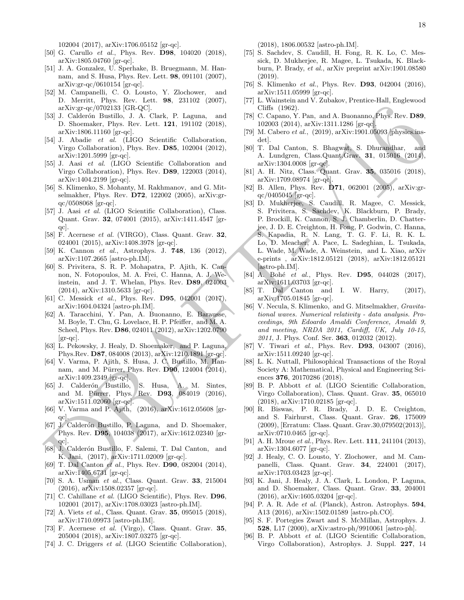102004 (2017), arXiv:1706.05152 [gr-qc].

- [50] G. Carullo et al., Phys. Rev. D98, 104020 (2018), arXiv:1805.04760 [gr-qc].
- [51] J. A. Gonzalez, U. Sperhake, B. Bruegmann, M. Hannam, and S. Husa, Phys. Rev. Lett. 98, 091101 (2007), arXiv:gr-qc/0610154 [gr-qc].
- [52] M. Campanelli, C. O. Lousto, Y. Zlochower, and D. Merritt, Phys. Rev. Lett. 98, 231102 (2007), arXiv:gr-qc/0702133 [GR-QC].
- [53] J. Calderón Bustillo, J. A. Clark, P. Laguna, and D. Shoemaker, Phys. Rev. Lett. 121, 191102 (2018), arXiv:1806.11160 [gr-qc].
- [54] J. Abadie et al. (LIGO Scientific Collaboration, Virgo Collaboration), Phys. Rev. D85, 102004 (2012), arXiv:1201.5999 [gr-qc].
- [55] J. Aasi et al. (LIGO Scientific Collaboration and Virgo Collaboration), Phys. Rev. D89, 122003 (2014), arXiv:1404.2199 [gr-qc].
- [56] S. Klimenko, S. Mohanty, M. Rakhmanov, and G. Mitselmakher, Phys. Rev. D72, 122002 (2005), arXiv:grqc/0508068 [gr-qc].
- [57] J. Aasi et al. (LIGO Scientific Collaboration), Class. Quant. Grav. 32, 074001 (2015), arXiv:1411.4547 [grqc].
- [58] F. Acernese et al. (VIRGO), Class. Quant. Grav. 32, 024001 (2015), arXiv:1408.3978 [gr-qc].
- [59] K. Cannon et al., Astrophys. J. 748, 136 (2012), arXiv:1107.2665 [astro-ph.IM].
- [60] S. Privitera, S. R. P. Mohapatra, P. Ajith, K. Cannon, N. Fotopoulos, M. A. Frei, C. Hanna, A. J. Weinstein, and J. T. Whelan, Phys. Rev. D89, 024003 (2014), arXiv:1310.5633 [gr-qc].
- [61] C. Messick *et al.*, Phys. Rev. **D95**, 042001 (2017), arXiv:1604.04324 [astro-ph.IM].
- [62] A. Taracchini, Y. Pan, A. Buonanno, E. Barausse, M. Boyle, T. Chu, G. Lovelace, H. P. Pfeiffer, and M. A. Scheel, Phys. Rev. D86, 024011 (2012), arXiv:1202.0790  $[\text{gr-}\text{acl}]$ .
- [63] L. Pekowsky, J. Healy, D. Shoemaker, and P. Laguna, Phys.Rev. D87, 084008 (2013), arXiv:1210.1891 [gr-qc].
- [64] V. Varma, P. Ajith, S. Husa, J. C. Bustillo, M. Hannam, and M. Pürrer, Phys. Rev. D90, 124004 (2014), arXiv:1409.2349 [gr-qc].
- [65] J. Calderón Bustillo, S. Husa, A. M. Sintes, and M. Pürrer, Phys. Rev. **D93**, 084019 (2016), arXiv:1511.02060 [gr-qc].
- [66] V. Varma and P. Ajith, (2016), arXiv:1612.05608 [grqc].
- [67] J. Calderón Bustillo, P. Laguna, and D. Shoemaker, Phys. Rev. D95, 104038 (2017), arXiv:1612.02340 [grqc].
- [68] J. Calderón Bustillo, F. Salemi, T. Dal Canton, and K. Jani, (2017), arXiv:1711.02009 [gr-qc].
- [69] T. Dal Canton et al., Phys. Rev. **D90**, 082004 (2014), arXiv:1405.6731 [gr-qc].
- [70] S. A. Usman et al., Class. Quant. Grav. 33, 215004 (2016), arXiv:1508.02357 [gr-qc].
- [71] C. Cahillane et al. (LIGO Scientific), Phys. Rev. D96, 102001 (2017), arXiv:1708.03023 [astro-ph.IM].
- [72] A. Viets et al., Class. Quant. Grav. 35, 095015 (2018), arXiv:1710.09973 [astro-ph.IM].
- [73] F. Acernese et al. (Virgo), Class. Quant. Grav. 35, 205004 (2018), arXiv:1807.03275 [gr-qc].
- [74] J. C. Driggers et al. (LIGO Scientific Collaboration),

(2018), 1806.00532 [astro-ph.IM].

- [75] S. Sachdev, S. Caudill, H. Fong, R. K. Lo, C. Messick, D. Mukherjee, R. Magee, L. Tsukada, K. Blackburn, P. Brady, et al., arXiv preprint arXiv:1901.08580 (2019).
- [76] S. Klimenko et al., Phys. Rev. **D93**, 042004 (2016), arXiv:1511.05999 [gr-qc].
- [77] L. Wainstein and V. Zubakov, Prentice-Hall, Englewood Cliffs (1962).
- [78] C. Capano, Y. Pan, and A. Buonanno, Phys. Rev. D89, 102003 (2014), arXiv:1311.1286 [gr-qc].
- [79] M. Cabero *et al.*, (2019), arXiv:1901.05093 [physics.insdet].
- [80] T. Dal Canton, S. Bhagwat, S. Dhurandhar, and A. Lundgren, Class.Quant.Grav. 31, 015016 (2014), arXiv:1304.0008 [gr-qc].
- [81] A. H. Nitz, Class. Quant. Grav. 35, 035016 (2018), arXiv:1709.08974 [gr-qc].
- [82] B. Allen, Phys. Rev. D71, 062001 (2005), arXiv:grqc/0405045 [gr-qc].
- DRAFT-V16 [83] D. Mukherjee, S. Caudill, R. Magee, C. Messick, S. Privitera, S. Sachdev, K. Blackburn, P. Brady, P. Brockill, K. Cannon, S. J. Chamberlin, D. Chatterjee, J. D. E. Creighton, H. Fong, P. Godwin, C. Hanna, S. Kapadia, R. N. Lang, T. G. F. Li, R. K. L. Lo, D. Meacher, A. Pace, L. Sadeghian, L. Tsukada, L. Wade, M. Wade, A. Weinstein, and L. Xiao, arXiv e-prints , arXiv:1812.05121 (2018), arXiv:1812.05121 [astro-ph.IM].
	- [84] A. Bohé et al., Phys. Rev. D95, 044028 (2017), arXiv:1611.03703 [gr-qc].
	- [85] T. Dal Canton and I. W. Harry, (2017), arXiv:1705.01845 [gr-qc].
	- [86] V. Necula, S. Klimenko, and G. Mitselmakher, *Gravita*tional waves. Numerical relativity - data analysis. Proceedings, 9th Edoardo Amaldi Conference, Amaldi 9, and meeting, NRDA 2011, Cardiff, UK, July 10-15, 2011, J. Phys. Conf. Ser. 363, 012032 (2012).
	- [87] V. Tiwari et al., Phys. Rev. **D93**, 043007 (2016), arXiv:1511.09240 [gr-qc].
	- [88] L. K. Nuttall, Philosophical Transactions of the Royal Society A: Mathematical, Physical and Engineering Sciences 376, 20170286 (2018).
	- [89] B. P. Abbott et al. (LIGO Scientific Collaboration, Virgo Collaboration), Class. Quant. Grav. 35, 065010 (2018), arXiv:1710.02185 [gr-qc].
	- [90] R. Biswas, P. R. Brady, J. D. E. Creighton, and S. Fairhurst, Class. Quant. Grav. 26, 175009 (2009), [Erratum: Class. Quant. Grav.30,079502(2013)], arXiv:0710.0465 [gr-qc].
	- [91] A. H. Mroue et al., Phys. Rev. Lett. **111**, 241104 (2013), arXiv:1304.6077 [gr-qc].
	- [92] J. Healy, C. O. Lousto, Y. Zlochower, and M. Campanelli, Class. Quant. Grav. 34, 224001 (2017), arXiv:1703.03423 [gr-qc].
	- [93] K. Jani, J. Healy, J. A. Clark, L. London, P. Laguna, and D. Shoemaker, Class. Quant. Grav. 33, 204001 (2016), arXiv:1605.03204 [gr-qc].
	- [94] P. A. R. Ade *et al.* (Planck), Astron. Astrophys. **594**, A13 (2016), arXiv:1502.01589 [astro-ph.CO].
	- [95] S. F. Portegies Zwart and S. McMillan, Astrophys. J. 528, L17 (2000), arXiv:astro-ph/9910061 [astro-ph].
	- [96] B. P. Abbott et al. (LIGO Scientific Collaboration, Virgo Collaboration), Astrophys. J. Suppl. 227, 14